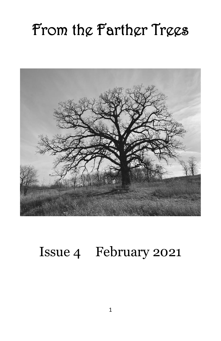# From the Farther Trees



# Issue 4 February 2021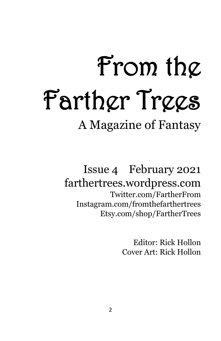# From the Farther Trees

A Magazine of Fantasy

Issue 4 February 2021 farthertrees.wordpress.com Twitter.com/FartherFrom Instagram.com/fromthefarthertrees Etsy.com/shop/FartherTrees

> Editor: Rick Hollon Cover Art: Rick Hollon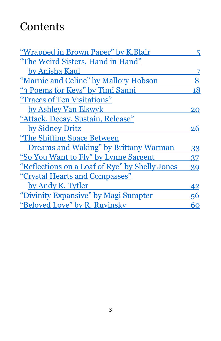# **Contents**

| <u>"Wrapped in Brown Paper" by K.Blair</u>     | 5. |
|------------------------------------------------|----|
| "The Weird Sisters, Hand in Hand"              |    |
| by Anisha Kaul                                 |    |
| "Marnie and Celine" by Mallory Hobson          | 8  |
| "3 Poems for Keys" by Timi Sanni               | 18 |
| "Traces of Ten Visitations"                    |    |
| by Ashley Van Elswyk                           | 20 |
| "Attack, Decay, Sustain, Release"              |    |
| by Sidney Dritz                                | 26 |
| "The Shifting Space Between"                   |    |
| Dreams and Waking" by Brittany Warman          | 33 |
| "So You Want to Fly" by Lynne Sargent          | 37 |
| "Reflections on a Loaf of Rye" by Shelly Jones | 39 |
| "Crystal Hearts and Compasses"                 |    |
| by Andy K. Tytler                              | 42 |
| "Divinity Expansive" by Magi Sumpter           | 56 |
| "Beloved Love" by R. Ruvinsky                  | 60 |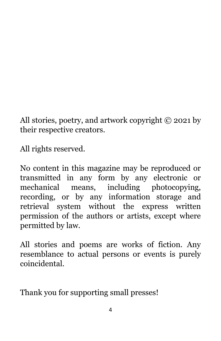All stories, poetry, and artwork copyright © 2021 by their respective creators.

All rights reserved.

No content in this magazine may be reproduced or transmitted in any form by any electronic or mechanical means, including photocopying, recording, or by any information storage and retrieval system without the express written permission of the authors or artists, except where permitted by law.

All stories and poems are works of fiction. Any resemblance to actual persons or events is purely coincidental.

Thank you for supporting small presses!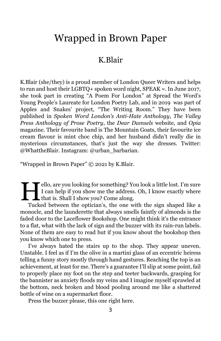# <span id="page-4-0"></span>Wrapped in Brown Paper

## K.Blair

K.Blair (she/they) is a proud member of London Queer Writers and helps to run and host their LGBTQ+ spoken word night, SPEAK =. In June 2017, she took part in creating "A Poem For London" at Spread the Word's Young People's Laureate for London Poetry Lab, and in 2019 was part of Apples and Snakes' project, "The Writing Room." They have been published in *Spoken Word London's Anti-Hate Anthology*, *The Valley Press Anthology of Prose Poetry*, the *Dear Damsels* website, and *Opia* magazine. Their favourite band is The Mountain Goats, their favourite ice cream flavour is mint choc chip, and her husband didn't really die in mysterious circumstances, that's just the way she dresses. Twitter: @WhattheBlair. Instagram: @urban\_barbarian.

"Wrapped in Brown Paper" © 2021 by K.Blair.

ello, are you looking for something? You look a little lost. I'm sure I can help if you show me the address. Oh, I know exactly where I ello, are you looking for something? You show the address<br>It can help if you show me the address<br>that is. Shall I show you? Come along.

Tucked between the optician's, the one with the sign shaped like a monocle, and the launderette that always smells faintly of almonds is the faded door to the Laceflower Bookshop. One might think it's the entrance to a flat, what with the lack of sign and the buzzer with its rain-run labels. None of them are easy to read but if you know about the bookshop then you know which one to press.

I've always hated the stairs up to the shop. They appear uneven. Unstable. I feel as if I'm the olive in a martini glass of an eccentric heiress telling a funny story mostly through hand gestures. Reaching the top is an achievement, at least for me. There's a guarantee I'll slip at some point, fail to properly place my foot on the step and teeter backwards, grasping for the bannister as anxiety floods my veins and I imagine myself sprawled at the bottom, neck broken and blood pooling around me like a shattered bottle of wine on a supermarket floor.

Press the buzzer please, this one right here.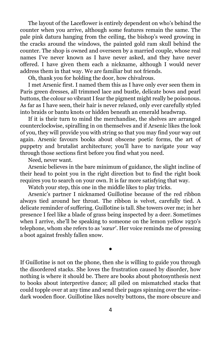The layout of the Laceflower is entirely dependent on who's behind the counter when you arrive, although some features remain the same. The pale pink datura hanging from the ceiling, the bishop's weed growing in the cracks around the windows, the painted gold ram skull behind the counter. The shop is owned and overseen by a married couple, whose real names I've never known as I have never asked, and they have never offered. I have given them each a nickname, although I would never address them in that way. We are familiar but not friends.

Oh, thank you for holding the door, how chivalrous.

I met Arsenic first. I named them this as I have only ever seen them in Paris green dresses, all trimmed lace and bustle, delicate bows and pearl buttons, the colour so vibrant I fear the pigment might really be poisonous. As far as I have seen, their hair is never relaxed, only ever carefully styled into braids or bantu knots or hidden beneath an emerald headwrap.

If it is their turn to mind the merchandise, the shelves are arranged counterclockwise, spiralling in on themselves and if Arsenic likes the look of you, they will provide you with string so that you may find your way out again. Arsenic favours books about obscene poetic forms, the art of puppetry and brutalist architecture; you'll have to navigate your way through those sections first before you find what you need.

Need, never want.

Arsenic believes in the bare minimum of guidance, the slight incline of their head to point you in the right direction but to find the right book requires you to search on your own. It is far more satisfying that way.

Watch your step, this one in the middle likes to play tricks.

Arsenic's partner I nicknamed Guillotine because of the red ribbon always tied around her throat. The ribbon is velvet, carefully tied. A delicate reminder of suffering. Guillotine is tall. She towers over me; in her presence I feel like a blade of grass being inspected by a deer. Sometimes when I arrive, she'll be speaking to someone on the lemon yellow 1930's telephone, whom she refers to as '*sœur*'. Her voice reminds me of pressing a boot against freshly fallen snow.

If Guillotine is not on the phone, then she is willing to guide you through the disordered stacks. She loves the frustration caused by disorder, how nothing is where it should be. There are books about photosynthesis next to books about interpretive dance; all piled on mismatched stacks that could topple over at any time and send their pages spinning over the winedark wooden floor. Guillotine likes novelty buttons, the more obscure and

●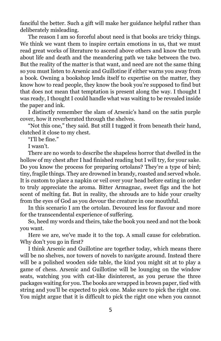fanciful the better. Such a gift will make her guidance helpful rather than deliberately misleading.

The reason I am so forceful about need is that books are tricky things. We think we want them to inspire certain emotions in us, that we must read great works of literature to ascend above others and know the truth about life and death and the meandering path we take between the two. But the reality of the matter is that want, and need are not the same thing so you must listen to Arsenic and Guillotine if either warns you away from a book. Owning a bookshop lends itself to expertise on the matter, they know how to read people, they know the book you're supposed to find but that does not mean that temptation is present along the way. I thought I was ready, I thought I could handle what was waiting to be revealed inside the paper and ink.

I distinctly remember the slam of Arsenic's hand on the satin purple cover, how it reverberated through the shelves.

"Not this one," they said. But still I tugged it from beneath their hand, clutched it close to my chest.

"I'll be fine."

I wasn't.

There are no words to describe the shapeless horror that dwelled in the hollow of my chest after I had finished reading but I will try, for your sake. Do you know the process for preparing ortolans? They're a type of bird; tiny, fragile things. They are drowned in brandy, roasted and served whole. It is custom to place a napkin or veil over your head before eating in order to truly appreciate the aroma. Bitter Armagnac, sweet figs and the hot scent of melting fat. But in reality, the shrouds are to hide your cruelty from the eyes of God as you devour the creature in one mouthful.

In this scenario I am the ortolan. Devoured less for flavour and more for the transcendental experience of suffering.

So, heed my words and theirs, take the book you need and not the book you want.

Here we are, we've made it to the top. A small cause for celebration. Why don't you go in first?

I think Arsenic and Guillotine are together today, which means there will be no shelves, nor towers of novels to navigate around. Instead there will be a polished wooden side table, the kind you might sit at to play a game of chess. Arsenic and Guillotine will be lounging on the window seats, watching you with cat-like disinterest, as you peruse the three packages waiting for you. The books are wrapped in brown paper, tied with string and you'll be expected to pick one. Make sure to pick the right one. You might argue that it is difficult to pick the right one when you cannot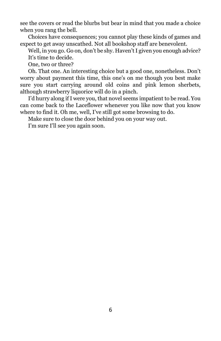see the covers or read the blurbs but bear in mind that you made a choice when you rang the bell.

Choices have consequences; you cannot play these kinds of games and expect to get away unscathed. Not all bookshop staff are benevolent.

Well, in you go. Go on, don't be shy. Haven't I given you enough advice? It's time to decide.

One, two or three?

Oh. That one. An interesting choice but a good one, nonetheless. Don't worry about payment this time, this one's on me though you best make sure you start carrying around old coins and pink lemon sherbets, although strawberry liquorice will do in a pinch.

I'd hurry along if I were you, that novel seems impatient to be read. You can come back to the Laceflower whenever you like now that you know where to find it. Oh me, well, I've still got some browsing to do.

Make sure to close the door behind you on your way out.

I'm sure I'll see you again soon.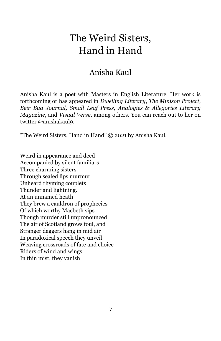# <span id="page-8-0"></span>The Weird Sisters, Hand in Hand

## Anisha Kaul

Anisha Kaul is a poet with Masters in English Literature. Her work is forthcoming or has appeared in *Dwelling Literary*, *The Minison Project, Beir Bua Journal, Small Leaf Press, Analogies & Allegories Literary Magazine*, and *Visual Verse*, among others. You can reach out to her on twitter @anishakaul9.

"The Weird Sisters, Hand in Hand" © 2021 by Anisha Kaul.

Weird in appearance and deed Accompanied by silent familiars Three charming sisters Through sealed lips murmur Unheard rhyming couplets Thunder and lightning. At an unnamed heath They brew a cauldron of prophecies Of which worthy Macbeth sips Though murder still unpronounced The air of Scotland grows foul, and Stranger daggers hang in mid air In paradoxical speech they unveil Weaving crossroads of fate and choice Riders of wind and wings In thin mist, they vanish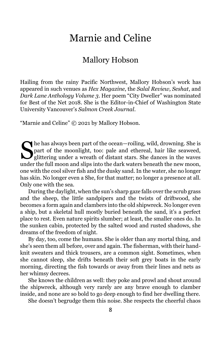# Marnie and Celine

## Mallory Hobson

<span id="page-9-0"></span>Hailing from the rainy Pacific Northwest, Mallory Hobson's work has appeared in such venues as *Hex Magazine*, the *Salal Review, Seshat*, and *Dark Lane Anthology Volume 3*. Her poem "City Dweller" was nominated for Best of the Net 2018. She is the Editor-in-Chief of Washington State University Vancouver's *Salmon Creek Journal*.

"Marnie and Celine" © 2021 by Mallory Hobson.

The has always been part of the ocean—roiling, wild, drowning. She is<br>part of the moonlight, too: pale and ethereal, hair like seaweed,<br>glittering under a wreath of distant stars. She dances in the waves part of the moonlight, too: pale and ethereal, hair like seaweed,  $\mathbf{J}_{\text{glittering under a }\check{\text{a} \text{v} \text{t} \text{a}}$  of distant stars. She dances in the waves under the full moon and slips into the dark waters beneath the new moon, one with the cool silver fish and the dusky sand. In the water, she no longer has skin. No longer even a She, for that matter; no longer a presence at all. Only one with the sea.

During the daylight, when the sun's sharp gaze falls over the scrub grass and the sheep, the little sandpipers and the twists of driftwood, she becomes a form again and clambers into the old shipwreck. No longer even a ship, but a skeletal hull mostly buried beneath the sand, it's a perfect place to rest. Even nature spirits slumber; at least, the smaller ones do. In the sunken cabin, protected by the salted wood and rusted shadows, she dreams of the freedom of night.

By day, too, come the humans. She is older than any mortal thing, and she's seen them all before, over and again. The fisherman, with their handknit sweaters and thick trousers, are a common sight. Sometimes, when she cannot sleep, she drifts beneath their soft grey boats in the early morning, directing the fish towards or away from their lines and nets as her whimsy decrees.

She knows the children as well: they poke and prowl and shout around the shipwreck, although very rarely are any brave enough to clamber inside, and none are so bold to go deep enough to find her dwelling there.

She doesn't begrudge them this noise. She respects the cheerful chaos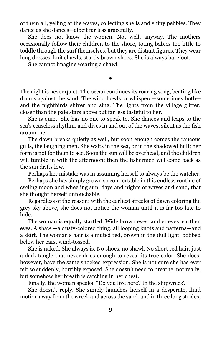of them all, yelling at the waves, collecting shells and shiny pebbles. They dance as she dances—albeit far less gracefully.

She does not know the women. Not well, anyway. The mothers occasionally follow their children to the shore, toting babies too little to toddle through the surf themselves, but they are distant figures. They wear long dresses, knit shawls, sturdy brown shoes. She is always barefoot.

She cannot imagine wearing a shawl.

The night is never quiet. The ocean continues its roaring song, beating like drums against the sand. The wind howls or whispers—sometimes both and the nightbirds shiver and sing. The lights from the village glitter, closer than the pale stars above but far less tasteful to her.

●

She is quiet. She has no one to speak to. She dances and leaps to the sea's ceaseless rhythm, and dives in and out of the waves, silent as the fish around her.

The dawn breaks quietly as well, but soon enough comes the raucous gulls, the laughing men. She waits in the sea, or in the shadowed hull; her form is not for them to see. Soon the sun will be overhead, and the children will tumble in with the afternoon; then the fishermen will come back as the sun drifts low.

Perhaps her mistake was in assuming herself to always be the watcher.

Perhaps she has simply grown so comfortable in this endless routine of cycling moon and wheeling sun, days and nights of waves and sand, that she thought herself untouchable.

Regardless of the reason: with the earliest streaks of dawn coloring the grey sky above, she does not notice the woman until it is far too late to hide.

The woman is equally startled. Wide brown eyes: amber eyes, earthen eyes. A shawl—a dusty-colored thing, all looping knots and patterns—and a skirt. The woman's hair is a muted red, brown in the dull light, bobbed below her ears, wind-tossed.

She is naked. She always is. No shoes, no shawl. No short red hair, just a dark tangle that never dries enough to reveal its true color. She does, however, have the same shocked expression. She is not sure she has ever felt so suddenly, horribly exposed. She doesn't need to breathe, not really, but somehow her breath is catching in her chest.

Finally, the woman speaks. "Do you live here? In the shipwreck?"

She doesn't reply. She simply launches herself in a desperate, fluid motion away from the wreck and across the sand, and in three long strides,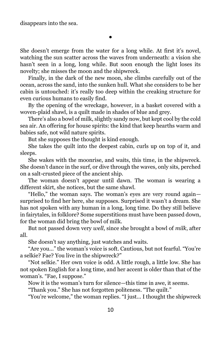●

She doesn't emerge from the water for a long while. At first it's novel, watching the sun scatter across the waves from underneath: a vision she hasn't seen in a long, long while. But soon enough the light loses its novelty; she misses the moon and the shipwreck.

Finally, in the dark of the new moon, she climbs carefully out of the ocean, across the sand, into the sunken hull. What she considers to be her cabin is untouched: it's really too deep within the creaking structure for even curious humans to easily find.

By the opening of the wreckage, however, in a basket covered with a woven-plaid shawl, is a quilt made in shades of blue and grey.

There's also a bowl of milk, slightly sandy now, but kept cool by the cold sea air. An offering for house spirits: the kind that keep hearths warm and babies safe, not wild nature spirits.

But she supposes the thought is kind enough.

She takes the quilt into the deepest cabin, curls up on top of it, and sleeps.

She wakes with the moonrise, and waits, this time, in the shipwreck. She doesn't dance in the surf, or dive through the waves, only sits, perched on a salt-crusted piece of the ancient ship.

The woman doesn't appear until dawn. The woman is wearing a different skirt, she notices, but the same shawl.

"Hello," the woman says. The woman's eyes are very round again surprised to find her here, she supposes. Surprised it wasn't a dream. She has not spoken with any human in a long, long time. Do they still believe in fairytales, in folklore? Some superstitions must have been passed down, for the woman did bring the bowl of milk.

But not passed down very *well*, since she brought a bowl of *milk*, after all.

She doesn't say anything, just watches and waits.

"Are you..." the woman's voice is soft. Cautious, but not fearful. "You're a selkie? Fae? You live in the shipwreck?"

"Not selkie." Her own voice is odd. A little rough, a little low. She has not spoken English for a long time, and her accent is older than that of the woman's. "Fae, I suppose."

Now it is the woman's turn for silence—this time in awe, it seems.

"Thank you." She has not forgotten politeness. "The quilt."

"You're welcome," the woman replies. "I just... I thought the shipwreck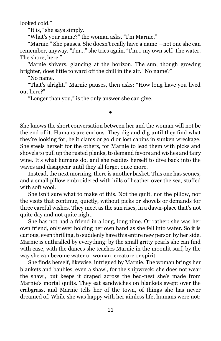looked cold."

"It is," she says simply.

"What's your name?" the woman asks. "I'm Marnie."

"Marnie." She pauses. She doesn't really have a name —not one she can remember, anyway. "I'm..." she tries again. "I'm... my own self. The water. The shore, here."

Marnie shivers, glancing at the horizon. The sun, though growing brighter, does little to ward off the chill in the air. "No name?"

"No name."

"That's alright." Marnie pauses, then asks: "How long have you lived out here?"

●

"Longer than you," is the only answer she can give.

She knows the short conversation between her and the woman will not be the end of it. Humans are curious. They dig and dig until they find what they're looking for, be it clams or gold or lost cabins in sunken wreckage. She steels herself for the others, for Marnie to lead them with picks and shovels to pull up the rusted planks, to demand favors and wishes and fairy wine. It's what humans do, and she readies herself to dive back into the waves and disappear until they all forget once more.

Instead, the next morning, there is another basket. This one has scones, and a small pillow embroidered with hills of heather over the sea, stuffed with soft wool.

She isn't sure what to make of this. Not the quilt, nor the pillow, nor the visits that continue, quietly, without picks or shovels or demands for three careful wishes. They meet as the sun rises, in a dawn-place that's not quite day and not quite night.

She has not had a friend in a long, long time. Or rather: she was her own friend, only ever holding her own hand as she fell into water. So it is curious, even thrilling, to suddenly have this entire new person by her side. Marnie is enthralled by everything: by the small gritty pearls she can find with ease, with the dances she teaches Marnie in the moonlit surf, by the way she can become water or woman, creature or spirit.

She finds herself, likewise, intrigued by Marnie. The woman brings her blankets and baubles, even a shawl, for the shipwreck: she does not wear the shawl, but keeps it draped across the bed-nest she's made from Marnie's mortal quilts. They eat sandwiches on blankets swept over the crabgrass, and Marnie tells her of the town, of things she has never dreamed of. While she was happy with her aimless life, humans were not: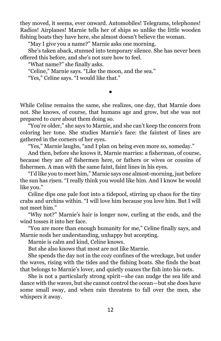they moved, it seems, ever onward. Automobiles! Telegrams, telephones! Radios! Airplanes! Marnie tells her of ships so unlike the little wooden fishing boats they have here, she almost doesn't believe the woman.

"May I give you a name?" Marnie asks one morning.

She's taken aback, stunned into temporary silence. She has never been offered this before, and she's not sure how to feel.

"What name?" she finally asks.

"Celine," Marnie says. "Like the moon, and the sea."

"Yes," Celine says. "I would like that."

While Celine remains the same, she realizes, one day, that Marnie does not. She knows, of course, that humans age and grow, but she was not prepared to *care* about them doing so.

●

"You're older," she says to Marnie, and she can't keep the concern from coloring her tone. She studies Marnie's face: the faintest of lines are gathered in the corners of her eyes.

"Yes," Marnie laughs, "and I plan on being even more so, someday."

And then, before she knows it, Marnie marries: a fisherman, of course, because they are *all* fishermen here, or fathers or wives or cousins of fishermen. A man with the same faint, faint lines in his eyes.

"I'd like you to meet him," Marnie says one almost-morning, just before the sun has risen. "I really think you would like him. And I know he would like you."

Celine dips one pale foot into a tidepool, stirring up chaos for the tiny crabs and urchins within. "I will love him because you love him. But I will not meet him."

"Why not?" Marnie's hair is longer now, curling at the ends, and the wind tosses it into her face.

"You are more than enough humanity for me," Celine finally says, and Marnie nods her understanding, unhappy but accepting.

Marnie is calm and kind, Celine knows.

But she also knows that most are not like Marnie.

She spends the day not in the cozy confines of the wreckage, but under the waves, rising with the tides and the fishing boats. She finds the boat that belongs to Marnie's lover, and quietly coaxes the fish into his nets.

She is not a particularly strong spirit—she can nudge the sea life and dance with the waves, but she cannot control the ocean—but she does have some small sway, and when rain threatens to fall over the men, she whispers it away.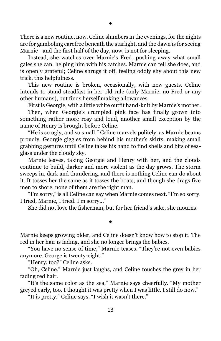There is a new routine, now. Celine slumbers in the evenings, for the nights are for gamboling carefree beneath the starlight, and the dawn is for seeing Marnie—and the first half of the day, now, is not for sleeping.

Instead, she watches over Marnie's Fred, pushing away what small gales she can, helping him with his catches. Marnie can tell she does, and is openly grateful; Celine shrugs it off, feeling oddly shy about this new trick, this helpfulness.

This new routine is broken, occasionally, with new guests. Celine intends to stand steadfast in her old rule (only Marnie, no Fred or any other humans), but finds herself making allowances.

First is Georgie, with a little white outfit hand-knit by Marnie's mother. Then, when Georgie's crumpled pink face has finally grown into something rather more rosy and loud, another small exception by the name of Henry is brought before Celine.

"He is so ugly, and so small," Celine marvels politely, as Marnie beams proudly. Georgie giggles from behind his mother's skirts, making small grabbing gestures until Celine takes his hand to find shells and bits of seaglass under the cloudy sky.

Marnie leaves, taking Georgie and Henry with her, and the clouds continue to build, darker and more violent as the day grows. The storm sweeps in, dark and thundering, and there is nothing Celine can do about it. It tosses her the same as it tosses the boats, and though she drags five men to shore, none of them are the right man.

"I'm sorry," is all Celine can say when Marnie comes next. "I'm so sorry. I tried, Marnie, I tried. I'm sorry..."

She did not love the fisherman, but for her friend's sake, she mourns.

Marnie keeps growing older, and Celine doesn't know how to stop it. The red in her hair is fading, and she no longer brings the babies.

●

"You have no sense of time," Marnie teases. "They're not even babies anymore. George is twenty-eight."

"Henry, too?" Celine asks.

"Oh, Celine." Marnie just laughs, and Celine touches the grey in her fading red hair.

"It's the same color as the sea," Marnie says cheerfully. "My mother greyed early, too. I thought it was pretty when I was little. I still do now."

"It is pretty," Celine says. "I wish it wasn't there."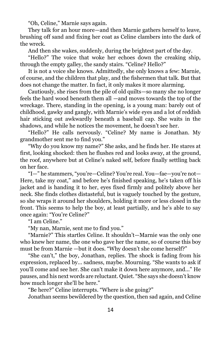"Oh, Celine," Marnie says again.

They talk for an hour more—and then Marnie gathers herself to leave, brushing off sand and fixing her coat as Celine clambers into the dark of the wreck.

And then she wakes, suddenly, during the brightest part of the day.

"Hello?" The voice that woke her echoes down the creaking ship, through the empty galley, the sandy stairs. "Celine? Hello?"

It is not a voice she knows. Admittedly, she only knows a few: Marnie, of course, and the children that play, and the fishermen that talk. But that does not change the matter. In fact, it only makes it more alarming.

Cautiously, she rises from the pile of old quilts—so many she no longer feels the hard wood beneath them all —and moves towards the top of the wreckage. There, standing in the opening, is a young man: barely out of childhood, gawky and gangly, with Marnie's wide eyes and a lot of reddish hair sticking out awkwardly beneath a baseball cap. She waits in the shadows, and while he notices the movement, he doesn't see her.

"Hello?" He calls nervously. "Celine? My name is Jonathan. My grandmother sent me to find you."

"Why do you know my name?" She asks, and he finds her. He stares at first, looking shocked: then he flushes red and looks away, at the ground, the roof, anywhere but at Celine's naked self, before finally settling back on her face.

"I—" he stammers, "you're—Celine? You're real. You—fae—you're not— Here, take my coat," and before he's finished speaking, he's taken off his jacket and is handing it to her, eyes fixed firmly and politely above her neck. She finds clothes distasteful, but is vaguely touched by the gesture, so she wraps it around her shoulders, holding it more or less closed in the front. This seems to help the boy, at least partially, and he's able to say once again: "You're Celine?"

"I am Celine."

"My nan, Marnie, sent me to find you."

"Marnie?" This startles Celine. It shouldn't—Marnie was the only one who knew her name, the one who gave her the name, so of course this boy must be from Marnie —but it does. "Why doesn't she come herself?"

"She can't," the boy, Jonathan, replies. The shock is fading from his expression, replaced by... sadness, maybe. Mourning. "She wants to ask if you'll come and see her. She can't make it down here anymore, and..." He pauses, and his next words are reluctant. Quiet. "She says she doesn't know how much longer she'll be here."

"Be here?" Celine interrupts. "Where is she going?"

Jonathan seems bewildered by the question, then sad again, and Celine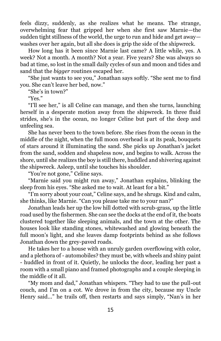feels dizzy, suddenly, as she realizes what he means. The strange, overwhelming fear that gripped her when she first saw Marnie—the sudden tight stillness of the world, the urge to run and hide and get away washes over her again, but all she does is grip the side of the shipwreck.

How long has it been since Marnie last came? A little while, yes. A week? Not a month. A month? Not a year. Five years? She was always so bad at time, so lost in the small daily cycles of sun and moon and tides and sand that the *bigger* routines escaped her.

"She just wants to see you," Jonathan says softly. "She sent me to find you. She can't leave her bed, now."

"She's in town?"

"Yes."

"I'll see her," is all Celine can manage, and then she turns, launching herself in a desperate motion away from the shipwreck. In three fluid strides, she's in the ocean, no longer Celine but part of the deep and unfeeling sea.

She has never been to the town before. She rises from the ocean in the middle of the night, when the full moon overhead is at its peak, bouquets of stars around it illuminating the sand. She picks up Jonathan's jacket from the sand, sodden and shapeless now, and begins to walk. Across the shore, until she realizes the boy is still there, huddled and shivering against the shipwreck. Asleep, until she touches his shoulder.

"You're not gone," Celine says.

"Marnie said you might run away," Jonathan explains, blinking the sleep from his eyes. "She asked me to wait. At least for a bit."

"I'm sorry about your coat," Celine says, and he shrugs. Kind and calm, she thinks, like Marnie. "Can you please take me to your nan?"

Jonathan leads her up the low hill dotted with scrub-grass, up the little road used by the fishermen. She can see the docks at the end of it, the boats clustered together like sleeping animals, and the town at the other. The houses look like standing stones, whitewashed and glowing beneath the full moon's light, and she leaves damp footprints behind as she follows Jonathan down the grey-paved roads.

He takes her to a house with an unruly garden overflowing with color, and a plethora of - automobiles? they must be, with wheels and shiny paint - huddled in front of it. Quietly, he unlocks the door, leading her past a room with a small piano and framed photographs and a couple sleeping in the middle of it all.

"My mom and dad," Jonathan whispers. "They had to use the pull-out couch, and I'm on a cot. We drove in from the city, because my Uncle Henry said..." he trails off, then restarts and says simply, "Nan's in her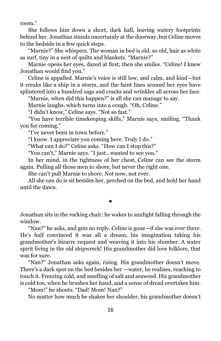room."

She follows him down a short, dark hall, leaving watery footprints behind her. Jonathan stands uncertainly at the doorway, but Celine moves to the bedside in a few quick steps.

"Marnie?" She whispers. The woman in bed is old, so old, hair as white as surf, tiny in a nest of quilts and blankets. "Marnie?"

Marnie opens her eyes, dazed at first; then she smiles. "Celine! I knew Jonathan would find you."

Celine is appalled. Marnie's voice is still low, and calm, and kind—but it creaks like a ship in a storm, and the faint lines around her eyes have splintered into a hundred sags and cracks and wrinkles all across her face.

"Marnie, when did this happen?" is all she can manage to say.

Marnie laughs, which turns into a cough. "Oh, Celine."

"I didn't know," Celine says. "Not so fast."

"You have terrible timekeeping skills," Marnie says, smiling. "Thank you for coming."

"I've never been in town before."

"I know. I appreciate you coming here. Truly I do."

"What can I do?" Celine asks. "How can I stop this?"

"You can't," Marnie says. "I just...wanted to see you."

In her mind, in the tightness of her chest, Celine can see the storm again. Pulling all those men to shore, but never the right one.

She can't pull Marnie to shore. Not now, not ever.

All she can do is sit besides her, perched on the bed, and hold her hand until the dawn.

Jonathan sits in the rocking chair; he wakes to sunlight falling through the window.

●

"Nan?" he asks, and gets no reply. Celine is gone—if she was ever there. He's half convinced it was all a dream, his imagination taking his grandmother's bizarre request and weaving it into his slumber. A water spirit living in the old shipwreck! His grandmother did love folklore, that was for sure.

"Nan?" Jonathan asks again, rising. His grandmother doesn't move. There's a dark spot on the bed besides her —water, he realizes, reaching to touch it. Freezing cold, and smelling of salt and seaweed. His grandmother is cold too, when he brushes her hand, and a sense of dread overtakes him.

"Mom!" he shouts. "Dad! Mom! Nan?"

No matter how much he shakes her shoulder, his grandmother doesn't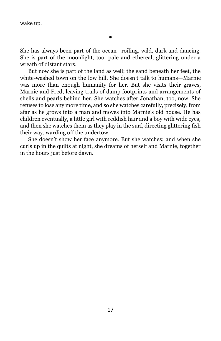wake up.

She has always been part of the ocean—roiling, wild, dark and dancing. She is part of the moonlight, too: pale and ethereal, glittering under a wreath of distant stars.

But now she is part of the land as well; the sand beneath her feet, the white-washed town on the low hill. She doesn't talk to humans—Marnie was more than enough humanity for her. But she visits their graves, Marnie and Fred, leaving trails of damp footprints and arrangements of shells and pearls behind her. She watches after Jonathan, too, now. She refuses to lose any more time, and so she watches carefully, precisely, from afar as he grows into a man and moves into Marnie's old house. He has children eventually, a little girl with reddish hair and a boy with wide eyes, and then she watches them as they play in the surf, directing glittering fish their way, warding off the undertow.

She doesn't show her face anymore. But she watches; and when she curls up in the quilts at night, she dreams of herself and Marnie, together in the hours just before dawn.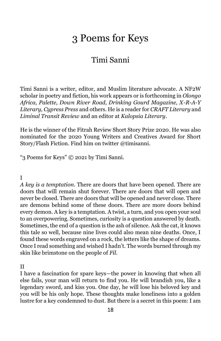# 3 Poems for Keys

## Timi Sanni

<span id="page-19-0"></span>Timi Sanni is a writer, editor, and Muslim literature advocate. A NF2W scholar in poetry and fiction, his work appears or is forthcoming in *Olongo Africa, Palette, Down River Road, Drinking Gourd Magazine, X-R-A-Y Literary, Cypress Press* and others. He is a reader for *CRAFT Literary* and *Liminal Transit Review* and an editor at *Kalopsia Literary*.

He is the winner of the Fitrah Review Short Story Prize 2020. He was also nominated for the 2020 Young Writers and Creatives Award for Short Story/Flash Fiction. Find him on twitter @timisanni.

"3 Poems for Keys" © 2021 by Timi Sanni.

I

*A key is a temptation*. There are doors that have been opened. There are doors that will remain shut forever. There are doors that will open and never be closed. There are doors that will be opened and never close. There are demons behind some of these doors. There are more doors behind every demon. A key is a temptation. A twist, a turn, and you open your soul to an overpowering. Sometimes, curiosity is a question answered by death. Sometimes, the end of a question is the ash of silence. Ask the cat, it knows this tale so well, because nine lives could also mean nine deaths. Once, I found these words engraved on a rock, the letters like the shape of dreams. Once I read something and wished I hadn't. The words burned through my skin like brimstone on the people of *Fil*.

II

I have a fascination for spare keys—the power in knowing that when all else fails, your man will return to find you. He will brandish you, like a legendary sword, and kiss you. One day, he will lose his beloved key and you will be his only hope. These thoughts make loneliness into a golden lustre for a key condemned to dust. But there is a secret in this poem: I am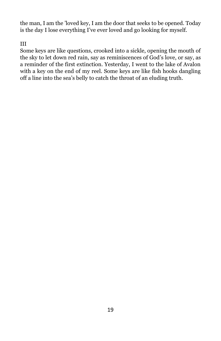the man, I am the 'loved key, I am the door that seeks to be opened. Today is the day I lose everything I've ever loved and go looking for myself.

#### III

Some keys are like questions, crooked into a sickle, opening the mouth of the sky to let down red rain, say as reminiscences of God's love, or say, as a reminder of the first extinction. Yesterday, I went to the lake of Avalon with a key on the end of my reel. Some keys are like fish hooks dangling off a line into the sea's belly to catch the throat of an eluding truth.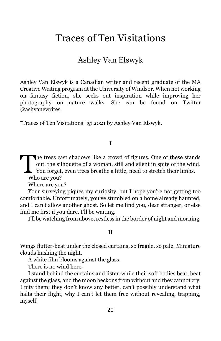# <span id="page-21-0"></span>Traces of Ten Visitations

## Ashley Van Elswyk

Ashley Van Elswyk is a Canadian writer and recent graduate of the MA Creative Writing program at the University of Windsor. When not working on fantasy fiction, she seeks out inspiration while improving her photography on nature walks. She can be found on Twitter @ashvanewrites.

"Traces of Ten Visitations" © 2021 by Ashley Van Elswyk.

I

The trees cast shadows like a crowd of figures. One of these stands out, the silhouette of a woman, still and silent in spite of the wind.<br>You forget, even trees breathe a little, need to stretch their limbs. out, the silhouette of a woman, still and silent in spite of the wind. You forget, even trees breathe a little, need to stretch their limbs.

Who are you?

Where are you?

Your surveying piques my curiosity, but I hope you're not getting too comfortable. Unfortunately, you've stumbled on a home already haunted, and I can't allow another ghost. So let me find you, dear stranger, or else find me first if you dare. I'll be waiting.

I'll be watching from above, restless in the border of night and morning.

#### II

Wings flutter-beat under the closed curtains, so fragile, so pale. Miniature clouds hushing the night.

A white film blooms against the glass.

There is no wind here.

I stand behind the curtains and listen while their soft bodies beat, beat against the glass, and the moon beckons from without and they cannot cry. I pity them; they don't know any better, can't possibly understand what halts their flight, why I can't let them free without revealing, trapping, myself.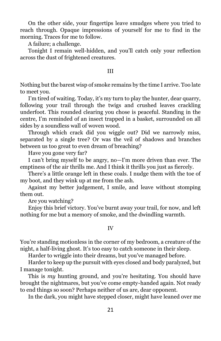On the other side, your fingertips leave smudges where you tried to reach through. Opaque impressions of yourself for me to find in the morning. Traces for me to follow.

A failure; a challenge.

Tonight I remain well-hidden, and you'll catch only your reflection across the dust of frightened creatures.

#### III

Nothing but the barest wisp of smoke remains by the time I arrive. Too late to meet you.

I'm tired of waiting. Today, it's my turn to play the hunter, dear quarry, following your trail through the twigs and crushed leaves crackling underfoot. This rounded clearing you chose is peaceful. Standing in the centre, I'm reminded of an insect trapped in a basket, surrounded on all sides by a soundless wall of woven wood.

Through which crack did you wiggle out? Did we narrowly miss, separated by a single tree? Or was the veil of shadows and branches between us too great to even dream of breaching?

Have you gone very far?

I can't bring myself to be angry, no—I'm more driven than ever. The emptiness of the air thrills me. And I think it thrills you just as fiercely.

There's a little orange left in these coals. I nudge them with the toe of my boot, and they wink up at me from the ash.

Against my better judgement, I smile, and leave without stomping them out.

Are you watching?

Enjoy this brief victory. You've burnt away your trail, for now, and left nothing for me but a memory of smoke, and the dwindling warmth.

#### IV

You're standing motionless in the corner of my bedroom, a creature of the night, a half-living ghost. It's too easy to catch someone in their sleep.

Harder to wriggle into their dreams, but you've managed before.

Harder to keep up the pursuit with eyes closed and body paralyzed, but I manage tonight.

This is *my* hunting ground, and you're hesitating. You should have brought the nightmares, but you've come empty-handed again. Not ready to end things so soon? Perhaps neither of us are, dear opponent.

In the dark, you might have stepped closer, might have leaned over me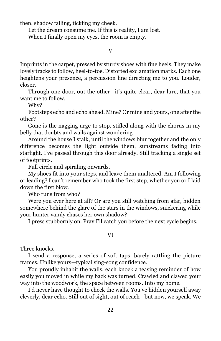then, shadow falling, tickling my cheek.

Let the dream consume me. If this is reality, I am lost.

When I finally open my eyes, the room is empty.

#### V

Imprints in the carpet, pressed by sturdy shoes with fine heels. They make lovely tracks to follow, heel-to-toe. Distorted exclamation marks. Each one heightens your presence, a percussion line directing me to you. Louder, closer.

Through one door, out the other—it's quite clear, dear lure, that you want me to follow.

Why?

Footsteps echo and echo ahead. Mine? Or mine and yours, one after the other?

Gone is the nagging urge to stop, stifled along with the chorus in my belly that doubts and wails against wondering.

Around the house I stalk, until the windows blur together and the only difference becomes the light outside them, sunstreams fading into starlight. I've passed through this door already. Still tracking a single set of footprints.

Full circle and spiraling onwards.

My shoes fit into your steps, and leave them unaltered. Am I following or leading? I can't remember who took the first step, whether you or I laid down the first blow.

Who runs from who?

Were you ever here at all? Or are you still watching from afar, hidden somewhere behind the glare of the stars in the windows, snickering while your hunter vainly chases her own shadow?

I press stubbornly on. Pray I'll catch you before the next cycle begins.

#### VI

Three knocks.

I send a response, a series of soft taps, barely rattling the picture frames. Unlike yours—typical sing-song confidence.

You proudly inhabit the walls, each knock a teasing reminder of how easily you moved in while my back was turned. Crawled and clawed your way into the woodwork, the space between rooms. Into my home.

I'd never have thought to check the walls. You've hidden yourself away cleverly, dear echo. Still out of sight, out of reach—but now, we speak. We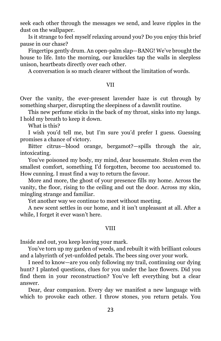seek each other through the messages we send, and leave ripples in the dust on the wallpaper.

Is it strange to feel myself relaxing around you? Do you enjoy this brief pause in our chase?

Fingertips gently drum. An open-palm slap—BANG! We've brought the house to life. Into the morning, our knuckles tap the walls in sleepless unison, heartbeats directly over each other.

A conversation is so much clearer without the limitation of words.

#### VII

Over the vanity, the ever-present lavender haze is cut through by something sharper, disrupting the sleepiness of a dawnlit routine.

This new perfume sticks in the back of my throat, sinks into my lungs. I hold my breath to keep it down.

What is this?

I wish you'd tell me, but I'm sure you'd prefer I guess. Guessing promises a chance of victory.

Bitter citrus—blood orange, bergamot?—spills through the air, intoxicating.

You've poisoned my body, my mind, dear housemate. Stolen even the smallest comfort, something I'd forgotten, become too accustomed to. How cunning. I must find a way to return the favour.

More and more, the ghost of your presence fills my home. Across the vanity, the floor, rising to the ceiling and out the door. Across my skin, mingling strange and familiar.

Yet another way we continue to meet without meeting.

A new scent settles in our home, and it isn't unpleasant at all. After a while, I forget it ever wasn't here.

#### VIII

Inside and out, you keep leaving your mark.

You've torn up my garden of weeds, and rebuilt it with brilliant colours and a labyrinth of yet-unfolded petals. The bees sing over your work.

I need to know—are you only following my trail, continuing our dying hunt? I planted questions, clues for you under the lace flowers. Did you find them in your reconstruction? You've left everything but a clear answer.

Dear, dear companion. Every day we manifest a new language with which to provoke each other. I throw stones, you return petals. You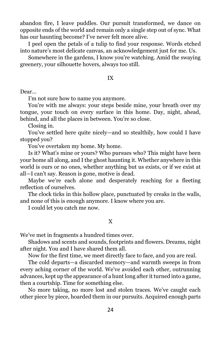abandon fire, I leave puddles. Our pursuit transformed, we dance on opposite ends of the world and remain only a single step out of sync. What has our haunting become? I've never felt more alive.

I peel open the petals of a tulip to find your response. Words etched into nature's most delicate canvas, an acknowledgement just for me. Us.

Somewhere in the gardens, I know you're watching. Amid the swaying greenery, your silhouette hovers, always too still.

IX

Dear…

I'm not sure how to name you anymore.

You're with me always: your steps beside mine, your breath over my tongue, your touch on every surface in this home. Day, night, ahead, behind, and all the places in between. You're so close.

Closing in.

You've settled here quite nicely—and so stealthily, how could I have stopped you?

You've overtaken my home. My home.

Is it? What's mine or yours? Who pursues who? This might have been your home all along, and I the ghost haunting it. Whether anywhere in this world is ours or no ones, whether anything but us exists, or if we exist at all—I can't say. Reason is gone, motive is dead.

Maybe we're each alone and desperately reaching for a fleeting reflection of ourselves.

The clock ticks in this hollow place, punctuated by creaks in the walls, and none of this is enough anymore. I know where you are.

I could let you catch me now.

#### X

We've met in fragments a hundred times over.

Shadows and scents and sounds, footprints and flowers. Dreams, night after night. You and I have shared them all.

Now for the first time, we meet directly face to face, and you are real.

The cold departs—a discarded memory—and warmth sweeps in from every aching corner of the world. We've avoided each other, outrunning advances, kept up the appearance of a hunt long after it turned into a game, then a courtship. Time for something else.

No more taking, no more lost and stolen traces. We've caught each other piece by piece, hoarded them in our pursuits. Acquired enough parts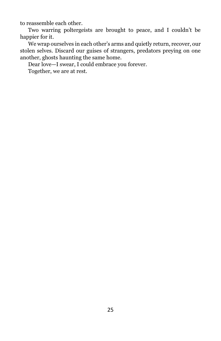to reassemble each other.

Two warring poltergeists are brought to peace, and I couldn't be happier for it.

We wrap ourselves in each other's arms and quietly return, recover, our stolen selves. Discard our guises of strangers, predators preying on one another, ghosts haunting the same home.

Dear love—I swear, I could embrace you forever.

Together, we are at rest.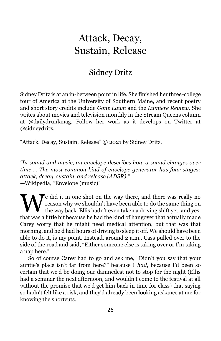# <span id="page-27-0"></span>Attack, Decay, Sustain, Release

## Sidney Dritz

Sidney Dritz is at an in-between point in life. She finished her three-college tour of America at the University of Southern Maine, and recent poetry and short story credits include *Gone Lawn* and the *Lumiere Review*. She writes about movies and television monthly in the Stream Queens column at @dailydrunkmag. Follow her work as it develops on Twitter at @sidneydritz.

"Attack, Decay, Sustain, Release" © 2021 by Sidney Dritz.

*"In sound and music, an envelope describes how a sound changes over time.... The most common kind of envelope generator has four stages: attack, decay, sustain, and release (ADSR)."*  —Wikipedia, "Envelope (music)"

e did it in one shot on the way there, and there was really no reason why we shouldn't have been able to do the same thing on the way back. Ellis hadn't even taken a driving shift yet, and yes, We did it in one shot on the way there, and there was really no<br>reason why we shouldn't have been able to do the same thing on<br>that was a little bit because he had the kind of hangover that actually made Carey worry that he might need medical attention, but that was that morning, and he'd had hours of driving to sleep it off. We should have been able to do it, is my point. Instead, around 2 a.m., Cass pulled over to the side of the road and said, "Either someone else is taking over or I'm taking a nap here."

So of course Carey had to go and ask me, "Didn't you say that your auntie's place isn't far from here?" because I *had*, because I'd been so certain that we'd be doing our damnedest not to stop for the night (Ellis had a seminar the next afternoon, and wouldn't come to the festival at all without the promise that we'd get him back in time for class) that saying so hadn't felt like a risk, and they'd already been looking askance at me for knowing the shortcuts.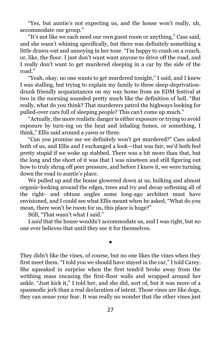"Yes, but auntie's not expecting us, and the house won't really, uh, accommodate our group."

"It's not like we each need our own guest room or anything," Cass said, and she wasn't whining specifically, but there was definitely something a little drawn-out and annoying in her tone. "I'm happy to crash on a couch, or, like, the floor. I just don't want want anyone to drive off the road, and I really don't want to get murdered sleeping in a car by the side of the road."

"Yeah, okay, no one wants to get murdered tonight," I said, and I knew I was stalling, but trying to explain my family to three sleep-deprivationdrunk friendly acquaintances on my way home from an EDM festival at two in the morning sounded pretty much like the definition of hell. "But really, what do you think? That murderers patrol the highways looking for pulled-over cars full of sleeping people? This can't come up much."

"Actually, the more realistic danger is either exposure or trying to avoid exposure by turn-ing on the heat and inhaling fumes, or something, I think," Ellis said around a yawn or three.

"Can you promise me we definitely won't get murdered?" Cass asked both of us, and Ellis and I exchanged a look—that was fair, we'd both feel pretty stupid if we woke up stabbed. There was a bit more than that, but the long and the short of it was that I was nineteen and still figuring out how to truly shrug off peer pressure, and before I knew it, we were turning down the road to auntie's place.

We pulled up and the house glowered down at us, hulking and almost organic-looking around the edges, trees and ivy and decay softening all of the right- and obtuse angles some long-ago architect must have envisioned, and I could see what Ellis meant when he asked, "What do you mean, there won't be room for us, this place is huge?"

Still, "That wasn't what I said."

I *said* that the house wouldn't accommodate us, and I was right, but no one ever believes that until they see it for themselves.

●

They didn't like the vines, of course, but no one likes the vines when they first meet them. "I told you we should have stayed in the car," I told Carey. She squeaked in surprise when the first tendril broke away from the writhing mass encasing the first-floor walls and wrapped around her ankle. "Just kick it," I told her, and she did, sort of, but it was more of a spasmodic jerk than a real declaration of intent. Those vines are like dogs, they can sense your fear. It was really no wonder that the other vines just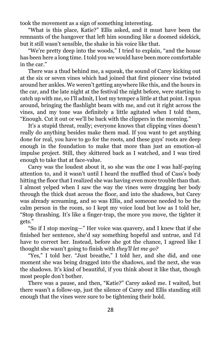took the movement as a sign of something interesting.

"What is this place, Katie?" Ellis asked, and it must have been the remnants of the hangover that left him sounding like a doomed sidekick, but it still wasn't sensible, the shake in his voice like that.

"We're pretty deep into the woods," I tried to explain, "and the house has been here a long time. I told you we would have been more comfortable in the car."

There was a thud behind me, a squeak, the sound of Carey kicking out at the six or seven vines which had joined that first pioneer vine twisted around her ankles. We weren't getting anywhere like this, and the hours in the car, and the late night at the festival the night before, were starting to catch up with me, so I'll admit, I lost my temper a little at that point. I spun around, bringing the flashlight beam with me, and cut it right across the vines, and my tone was definitely a little agitated when I told them, "Enough. Cut it out or we'll be back with the clippers in the morning."

It's a stupid threat, really; everyone knows that clipping vines doesn't really do anything besides make them mad. If you want to get anything done for real, you have to go for the roots, and these guys' roots are deep enough in the foundation to make that more than just an emotion-al impulse project. Still, they skittered back as I watched, and I was tired enough to take that at face-value.

Carey was the loudest about it, so she was the one I was half-paying attention to, and it wasn't until I heard the muffled thud of Cass's body hitting the floor that I realized she was having even more trouble than that. I almost yelped when I saw the way the vines were dragging her body through the thick dust across the floor, and into the shadows, but Carey was already screaming, and so was Ellis, and someone needed to be the calm person in the room, so I kept my voice loud but low as I told her, "Stop thrashing. It's like a finger-trap, the more you move, the tighter it gets."

"So if I stop moving—" Her voice was quavery, and I knew that if she finished her sentence, she'd say something hopeful and untrue, and I'd have to correct her. Instead, before she got the chance, I agreed like I thought she wasn't going to finish with *they'll let me go?*

"Yes," I told her. "Just breathe," I told her, and she did, and one moment she was being dragged into the shadows, and the next, she was the shadows. It's kind of beautiful, if you think about it like that, though most people don't bother.

There was a pause, and then, "Katie?" Carey asked me. I waited, but there wasn't a follow-up, just the silence of Carey and Ellis standing still enough that the vines were sure to be tightening their hold.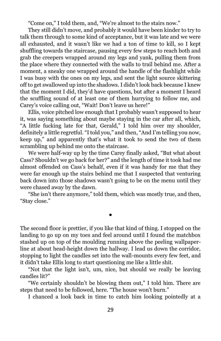"Come on," I told them, and, "We're almost to the stairs now."

They still didn't move, and probably it would have been kinder to try to talk them through to some kind of acceptance, but it was late and we were all exhausted, and it wasn't like we had a ton of time to kill, so I kept shuffling towards the staircase, pausing every few steps to reach both and grab the creepers wrapped around my legs and yank, pulling them from the place where they connected with the walls to trail behind me. After a moment, a sneaky one wrapped around the handle of the flashlight while I was busy with the ones on my legs, and sent the light source skittering off to get swallowed up into the shadows. I didn't look back because I knew that the moment I did, they'd have questions, but after a moment I heard the scuffling sound of at least one of them hurrying to follow me, and Carey's voice calling out, "Wait! Don't leave us here!"

Ellis, voice pitched low enough that I probably wasn't supposed to hear it, was saying something about maybe staying in the car after all, which, "A little fucking late for that, Gerald," I told him over my shoulder, definitely a little regretful. "I told you," and then, "And I'm telling you now, keep up," and apparently that's what it took to send the two of them scrambling up behind me onto the staircase.

We were half-way up by the time Carey finally asked, "But what about Cass? Shouldn't we go back for her?" and the length of time it took had me almost offended on Cass's behalf, even if it was handy for me that they were far enough up the stairs behind me that I suspected that venturing back down into those shadows wasn't going to be on the menu until they were chased away by the dawn.

"She isn't there anymore," told them, which was mostly true, and then, "Stay close."

●

The second floor is prettier, if you like that kind of thing. I stopped on the landing to go up on my toes and feel around until I found the matchbox stashed up on top of the moulding running above the peeling wallpaperline at about head-height down the hallway. I lead us down the corridor, stopping to light the candles set into the wall-mounts every few feet, and it didn't take Ellis long to start questioning me like a little shit.

"Not that the light isn't, um, nice, but should we really be leaving candles lit?"

"We certainly shouldn't be blowing them out," I told him. There are steps that need to be followed, here. "The house won't burn."

I chanced a look back in time to catch him looking pointedly at a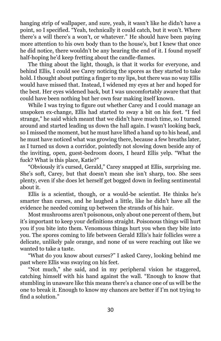hanging strip of wallpaper, and sure, yeah, it wasn't like he didn't have a point, so I specified. "Yeah, technically it could catch, but it won't. Where there's a will there's a won't, or whatever." He should have been paying more attention to his own body than to the house's, but I knew that once he did notice, there wouldn't be any hearing the end of it. I found myself half-hoping he'd keep fretting about the candle-flames.

The thing about the light, though, is that it works for everyone, and behind Ellis, I could see Carey noticing the spores as they started to take hold. I thought about putting a finger to my lips, but there was no way Ellis would have missed that. Instead, I widened my eyes at her and hoped for the best. Her eyes widened back, but I was uncomfortably aware that that could have been nothing but her own fear making itself known.

While I was trying to figure out whether Carey and I could manage an unspoken ex-change, Ellis had started to sway a bit on his feet. "I feel strange," he said which meant that we didn't have much time, so I turned around and started leading us down the hall again. I wasn't looking back, so I missed the moment, but he must have lifted a hand up to his head, and he must have noticed what was growing there, because a few breaths later, as I turned us down a corridor, pointedly not slowing down beside any of the inviting, open, guest-bedroom doors, I heard Ellis yelp. "What the fuck? What is this place, Katie?"

"Obviously it's cursed, Gerald," Carey snapped at Ellis, surprising me. She's soft, Carey, but that doesn't mean she isn't sharp, too. She sees plenty, even if she does let herself get bogged down in feeling sentimental about it.

Ellis is a scientist, though, or a would-be scientist. He thinks he's smarter than curses, and he laughed a little, like he didn't have all the evidence he needed coming up between the strands of his hair.

Most mushrooms aren't poisonous, only about one percent of them, but it's important to keep your definitions straight. Poisonous things will hurt you if you bite into them. Venomous things hurt you when they bite into you. The spores coming to life between Gerald Ellis's hair follicles were a delicate, unlikely pale orange, and none of us were reaching out like we wanted to take a taste.

"What do you know about curses?" I asked Carey, looking behind me past where Ellis was swaying on his feet.

"Not much," she said, and in my peripheral vision he staggered, catching himself with his hand against the wall. "Enough to know that stumbling in unaware like this means there's a chance one of us will be the one to break it. Enough to know my chances are better if I'm not trying to find a solution."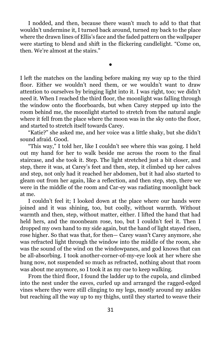I nodded, and then, because there wasn't much to add to that that wouldn't undermine it, I turned back around, turned my back to the place where the drawn lines of Ellis's face and the faded pattern on the wallpaper were starting to blend and shift in the flickering candlelight. "Come on, then. We're almost at the stairs."

●

I left the matches on the landing before making my way up to the third floor. Either we wouldn't need them, or we wouldn't want to draw attention to ourselves by bringing light into it. I was right, too; we didn't need it. When I reached the third floor, the moonlight was falling through the window onto the floorboards, but when Carey stepped up into the room behind me, the moonlight started to stretch from the natural angle where it fell from the place where the moon was in the sky onto the floor, and started to stretch itself towards Carey.

"Katie?" she asked me, and her voice was a little shaky, but she didn't sound afraid. Good.

"This way," I told her, like I couldn't see where this was going. I held out my hand for her to walk beside me across the room to the final staircase, and she took it. Step. The light stretched just a bit closer, and step, there it was, at Carey's feet and then, step, it climbed up her calves and step, not only had it reached her abdomen, but it had also started to gleam out from her again, like a reflection, and then step, step, there we were in the middle of the room and Car-ey was radiating moonlight back at me.

I couldn't feel it; I looked down at the place where our hands were joined and it was shining, too, but coolly, without warmth. Without warmth and then, step, without matter, either. I lifted the hand that had held hers, and the moonbeam rose, too, but I couldn't feel it. Then I dropped my own hand to my side again, but the hand of light stayed risen, rose higher. So that was that, for then— Carey wasn't Carey anymore, she was refracted light through the window into the middle of the room, she was the sound of the wind on the windowpanes, and god knows that can be all-absorbing. I took another-corner-of-my-eye look at her where she hung now, not suspended so much as refracted, nothing about that room was about me anymore, so I took it as my cue to keep walking.

From the third floor, I found the ladder up to the cupola, and climbed into the nest under the eaves, curled up and arranged the ragged-edged vines where they were still clinging to my legs, mostly around my ankles but reaching all the way up to my thighs, until they started to weave their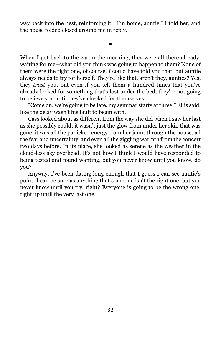way back into the nest, reinforcing it. "I'm home, auntie," I told her, and the house folded closed around me in reply.

●

When I got back to the car in the morning, they were all there already, waiting for me—what did you think was going to happen to them? None of them were the right one, of course, *I* could have told you that, but auntie always needs to try for herself. They're like that, aren't they, aunties? Yes, they *trust* you, but even if you tell them a hundred times that you've already looked for something that's lost under the bed, they're not going to believe you until they've checked for themselves.

"Come on, we're going to be late, my seminar starts at three," Ellis said, like the delay wasn't his fault to begin with.

Cass looked about as different from the way she did when I saw her last as she possibly could; it wasn't just the glow from under her skin that was gone, it was all the panicked energy from her jaunt through the house, all the fear and uncertainty, and even all the giggling warmth from the concert two days before. In its place, she looked as serene as the weather in the cloud-less sky overhead. It's not how I think I would have responded to being tested and found wanting, but you never know until you know, do you?

Anyway, I've been dating long enough that I guess I can see auntie's point; I can be sure as anything that someone isn't the right one, but you never know until you try, right? Everyone is going to be the wrong one, right up until the very last one.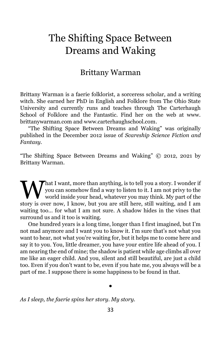# <span id="page-34-0"></span>The Shifting Space Between Dreams and Waking

## Brittany Warman

Brittany Warman is a faerie folklorist, a sorceress scholar, and a writing witch. She earned her PhD in English and Folklore from The Ohio State University and currently runs and teaches through The Carterhaugh School of Folklore and the Fantastic. Find her on the web at www. brittanywarman.com and www.carterhaughschool.com.

"The Shifting Space Between Dreams and Waking" was originally published in the December 2012 issue of *Scareship Science Fiction and Fantasy.*

"The Shifting Space Between Dreams and Waking" © 2012, 2021 by Brittany Warman.

That I want, more than anything, is to tell you a story. I wonder if you can somehow find a way to listen to it. I am not privy to the world inside your head, whatever you may think. My part of the What I want, more than anything, is to tell you a story. I wonder if you can somehow find a way to listen to it. I am not privy to the world inside your head, whatever you may think. My part of the story is over now, I kno waiting too… for what I am not sure. A shadow hides in the vines that surround us and it too is waiting.

One hundred years is a long time, longer than I first imagined, but I'm not mad anymore and I want you to know it. I'm sure that's not what you want to hear, not what you're waiting for, but it helps me to come here and say it to you. You, little dreamer, you have your entire life ahead of you. I am nearing the end of mine; the shadow is patient while age climbs all over me like an eager child. And you, silent and still beautiful, are just a child too. Even if you don't want to be, even if you hate me, you always will be a part of me. I suppose there is some happiness to be found in that.

#### ●

*As I sleep, the faerie spins her story. My story.*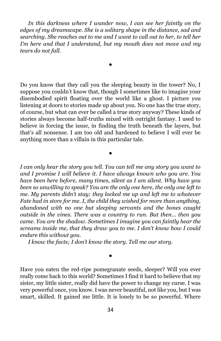*In this darkness where I wander now, I can see her faintly on the edges of my dreamscape. She is a solitary shape in the distance, sad and searching. She reaches out to me and I want to call out to her, to tell her I'm here and that I understand, but my mouth does not move and my tears do not fall.*

●

Do you know that they call you the sleeping beauty in the tower? No, I suppose you couldn't know that, though I sometimes like to imagine your disembodied spirit floating over the world like a ghost. I picture you listening at doors to stories made up about you. No one has the true story, of course, but what can ever be called a true story anyway? These kinds of stories always become half-truths mixed with outright fantasy. I used to believe in forcing the issue, in finding the truth beneath the layers, but that's all nonsense. I am too old and hardened to believe I will ever be anything more than a villain in this particular tale.

●

*I can only hear the story you tell. You can tell me any story you want to and I promise I will believe it. I have always known who you are. You have been here before, many times, silent as I am silent. Why have you been so unwilling to speak? You are the only one here, the only one left to me. My parents didn't stay; they locked me up and left me to whatever Fate had in store for me. I, the child they wished for more than anything, abandoned with no one but sleeping servants and the bones caught outside in the vines. There was a country to run. But then… then you came. You are the shadow. Sometimes I imagine you can faintly hear the screams inside me, that they draw you to me. I don't know how I could endure this without you.*

*I know the facts; I don't know the story. Tell me our story.*

#### ●

Have you eaten the red-ripe pomegranate seeds, sleeper? Will you ever really come back to this world? Sometimes I find it hard to believe that my sister, my little sister, really did have the power to change my curse. I was very powerful once, you know. I was never beautiful, not like you, but I was smart, skilled. It gained me little. It is lonely to be so powerful. Where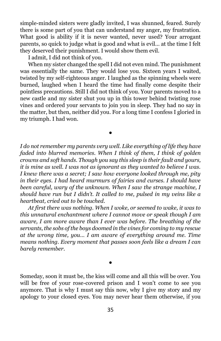simple-minded sisters were gladly invited, I was shunned, feared. Surely there is some part of you that can understand my anger, my frustration. What good is ability if it is never wanted, never used? Your arrogant parents, so quick to judge what is good and what is evil… at the time I felt they deserved their punishment. I would show them evil.

I admit, I did not think of you.

When my sister changed the spell I did not even mind. The punishment was essentially the same. They would lose you. Sixteen years I waited, twisted by my self-righteous anger. I laughed as the spinning wheels were burned, laughed when I heard the time had finally come despite their pointless precautions. Still I did not think of you. Your parents moved to a new castle and my sister shut you up in this tower behind twisting rose vines and ordered your servants to join you in sleep. They had no say in the matter, but then, neither did you. For a long time I confess I gloried in my triumph. I had won.

*I do not remember my parents very well. Like everything of life they have faded into blurred memories. When I think of them, I think of golden crowns and soft hands. Though you say this sleep is their fault and yours, it is mine as well. I was not as ignorant as they wanted to believe I was. I knew there was a secret; I saw how everyone looked through me, pity in their eyes. I had heard murmurs of fairies and curses. I should have been careful, wary of the unknown. When I saw the strange machine, I should have run but I didn't. It called to me, pulsed in my veins like a heartbeat, cried out to be touched.*

●

*At first there was nothing. When I woke, or seemed to wake, it was to this unnatural enchantment where I cannot move or speak though I am aware, I am more aware than I ever was before. The breathing of the servants, the sobs of the boys doomed in the vines for coming to my rescue at the wrong time, you… I am aware of everything around me. Time means nothing. Every moment that passes soon feels like a dream I can barely remember.*

Someday, soon it must be, the kiss will come and all this will be over. You will be free of your rose-covered prison and I won't come to see you anymore. That is why I must say this now, why I give my story and my apology to your closed eyes. You may never hear them otherwise, if you

●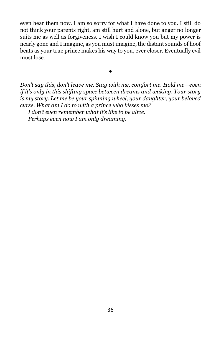even hear them now. I am so sorry for what I have done to you. I still do not think your parents right, am still hurt and alone, but anger no longer suits me as well as forgiveness. I wish I could know you but my power is nearly gone and I imagine, as you must imagine, the distant sounds of hoof beats as your true prince makes his way to you, ever closer. Eventually evil must lose.

*Don't say this, don't leave me. Stay with me, comfort me. Hold me—even if it's only in this shifting space between dreams and waking. Your story is my story. Let me be your spinning wheel, your daughter, your beloved curse. What am I do to with a prince who kisses me?*

●

*I don't even remember what it's like to be alive.*

*Perhaps even now I am only dreaming.*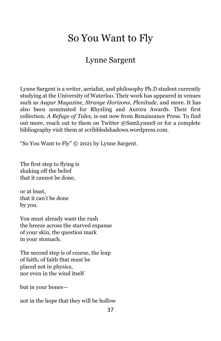# <span id="page-38-0"></span>So You Want to Fly

## Lynne Sargent

Lynne Sargent is a writer, aerialist, and philosophy Ph.D student currently studying at the University of Waterloo. Their work has appeared in venues such as *Augur Magazine, Strange Horizons*, *Plenitude*, and more. It has also been nominated for Rhysling and Aurora Awards. Their first collection, *A Refuge of Tales,* is out now from Renaissance Press. To find out more, reach out to them on Twitter @SamLynneS or for a complete bibliography visit them at scribbledshadows.wordpress.com.

"So You Want to Fly" © 2021 by Lynne Sargent.

The first step to flying is shaking off the belief that it cannot be done,

or at least, that it can't be done by you.

You must already want the rush the breeze across the starved expanse of your skin, the question mark in your stomach.

The second step is of course, the leap of faith, of faith that must be placed not in physics, nor even in the wind itself

but in your bones—

not in the hope that they will be hollow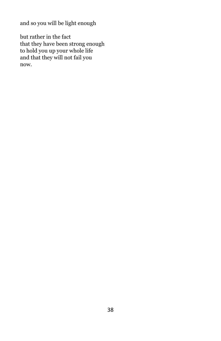and so you will be light enough

but rather in the fact that they have been strong enough to hold you up your whole life and that they will not fail you now.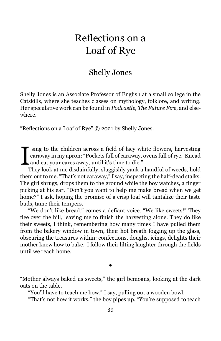# <span id="page-40-0"></span>Reflections on a Loaf of Rye

## Shelly Jones

Shelly Jones is an Associate Professor of English at a small college in the Catskills, where she teaches classes on mythology, folklore, and writing. Her speculative work can be found in *Podcastle, The Future Fire*, and elsewhere.

"Reflections on a Loaf of Rye" © 2021 by Shelly Jones.

sing to the children across a field of lacy white flowers, harvesting caraway in my apron: "Pockets full of caraway, ovens full of rye. Knead I sing to the children across a field of lacy wh<br>caraway in my apron: "Pockets full of caraway, and eat your cares away, until it's time to die."<br>They look at me disdentially, clustership youk a

They look at me disdainfully, sluggishly yank a handful of weeds, hold them out to me. "That's not caraway," I say, inspecting the half-dead stalks. The girl shrugs, drops them to the ground while the boy watches, a finger picking at his ear. "Don't you want to help me make bread when we get home?" I ask, hoping the promise of a crisp loaf will tantalize their taste buds, tame their tempers.

"We don't like bread," comes a defiant voice. "We like sweets!" They flee over the hill, leaving me to finish the harvesting alone. They do like their sweets, I think, remembering how many times I have pulled them from the bakery window in town, their hot breath fogging up the glass, obscuring the treasures within: confections, doughs, icings, delights their mother knew how to bake. I follow their lilting laughter through the fields until we reach home.

"Mother always baked us sweets," the girl bemoans, looking at the dark oats on the table.

●

"You'll have to teach me how," I say, pulling out a wooden bowl.

"That's not how it works," the boy pipes up. "You're supposed to teach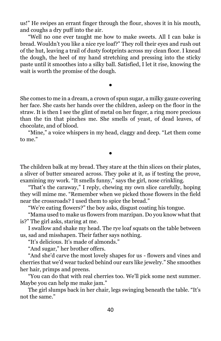us!" He swipes an errant finger through the flour, shoves it in his mouth, and coughs a dry puff into the air.

"Well no one ever taught me how to make sweets. All I can bake is bread. Wouldn't you like a nice rye loaf?" They roll their eyes and rush out of the hut, leaving a trail of dusty footprints across my clean floor. I knead the dough, the heel of my hand stretching and pressing into the sticky paste until it smoothes into a silky ball. Satisfied, I let it rise, knowing the wait is worth the promise of the dough.

She comes to me in a dream, a crown of spun sugar, a milky gauze covering her face. She casts her hands over the children, asleep on the floor in the straw. It is then I see the glint of metal on her finger, a ring more precious than the tin that pinches me. She smells of yeast, of dead leaves, of chocolate, and of blood.

●

"Mine," a voice whispers in my head, claggy and deep. "Let them come to me."

●

The children balk at my bread. They stare at the thin slices on their plates, a sliver of butter smeared across. They poke at it, as if testing the prove, examining my work. "It smells funny," says the girl, nose crinkling.

"That's the caraway," I reply, chewing my own slice carefully, hoping they will mime me. "Remember when we picked those flowers in the field near the crossroads? I used them to spice the bread."

"We're eating flowers?" the boy asks, disgust coating his tongue.

"Mama used to make us flowers from marzipan. Do you know what that is?" The girl asks, staring at me.

I swallow and shake my head. The rye loaf squats on the table between us, sad and misshapen. Their father says nothing.

"It's delicious. It's made of almonds."

"And sugar," her brother offers.

"And she'd carve the most lovely shapes for us - flowers and vines and cherries that we'd wear tucked behind our ears like jewelry." She smoothes her hair, primps and preens.

"You can do that with real cherries too. We'll pick some next summer. Maybe you can help me make jam."

The girl slumps back in her chair, legs swinging beneath the table. "It's not the same."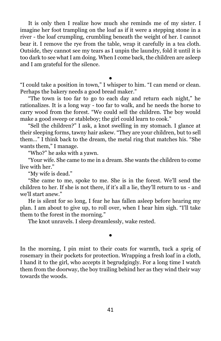It is only then I realize how much she reminds me of my sister. I imagine her foot trampling on the loaf as if it were a stepping stone in a river - the loaf crumpling, crumbling beneath the weight of her. I cannot bear it. I remove the rye from the table, wrap it carefully in a tea cloth. Outside, they cannot see my tears as I unpin the laundry, fold it until it is too dark to see what I am doing. When I come back, the children are asleep and I am grateful for the silence.

● "I could take a position in town," I whisper to him. "I can mend or clean. Perhaps the bakery needs a good bread maker."

"The town is too far to go to each day and return each night," he rationalizes. It is a long way - too far to walk, and he needs the horse to carry wood from the forest. "We could sell the children. The boy would make a good sweep or stableboy; the girl could learn to cook."

"Sell the children?" I ask, a knot swelling in my stomach. I glance at their sleeping forms, tawny hair askew. "They are your children, but to sell them…" I think back to the dream, the metal ring that matches his. "She wants them," I manage.

"Who?" he asks with a yawn.

"Your wife. She came to me in a dream. She wants the children to come live with her."

"My wife is dead."

"She came to me, spoke to me. She is in the forest. We'll send the children to her. If she is not there, if it's all a lie, they'll return to us - and we'll start anew."

He is silent for so long, I fear he has fallen asleep before hearing my plan. I am about to give up, to roll over, when I hear him sigh. "I'll take them to the forest in the morning."

●

The knot unravels. I sleep dreamlessly, wake rested.

In the morning, I pin mint to their coats for warmth, tuck a sprig of rosemary in their pockets for protection. Wrapping a fresh loaf in a cloth, I hand it to the girl, who accepts it begrudgingly. For a long time I watch them from the doorway, the boy trailing behind her as they wind their way towards the woods.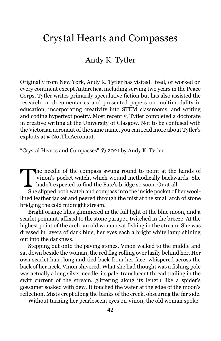# <span id="page-43-0"></span>Crystal Hearts and Compasses

## Andy K. Tytler

Originally from New York, Andy K. Tytler has visited, lived, or worked on every continent except Antarctica, including serving two years in the Peace Corps. Tytler writes primarily speculative fiction but has also assisted the research on documentaries and presented papers on multimodality in education, incorporating creativity into STEM classrooms, and writing and coding hypertext poetry. Most recently, Tytler completed a doctorate in creative writing at the University of Glasgow. Not to be confused with the Victorian aeronaut of the same name, you can read more about Tytler's exploits at @NotTheAeronaut.

"Crystal Hearts and Compasses" © 2021 by Andy K. Tytler.

he needle of the compass swung round to point at the hands of Vinon's pocket watch, which wound methodically backwards. She The needle of the compass swung round to point at the<br>Vinon's pocket watch, which wound methodically backward<br>hadn't expected to find the Fate's bridge so soon. Or at all.<br>She slipped both watch and compass into the inside

She slipped both watch and compass into the inside pocket of her woollined leather jacket and peered through the mist at the small arch of stone bridging the cold midnight stream.

Bright orange lilies glimmered in the full light of the blue moon, and a scarlet pennant, affixed to the stone parapet, twitched in the breeze. At the highest point of the arch, an old woman sat fishing in the stream. She was dressed in layers of dark blue, her eyes each a bright white lamp shining out into the darkness.

Stepping out onto the paving stones, Vinon walked to the middle and sat down beside the woman, the red flag rolling over lazily behind her. Her own scarlet hair, long and tied back from her face, whispered across the back of her neck. Vinon shivered. What she had thought was a fishing pole was actually a long silver needle, its pale, translucent thread trailing in the swift current of the stream, glittering along its length like a spider's gossamer soaked with dew. It touched the water at the edge of the moon's reflection. Mists crept along the banks of the creek, obscuring the far side.

Without turning her pearlescent eyes on Vinon, the old woman spoke.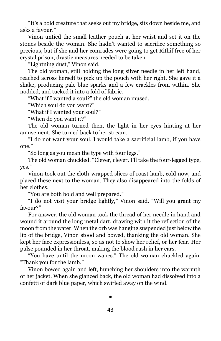"It's a bold creature that seeks out my bridge, sits down beside me, and asks a favour."

Vinon untied the small leather pouch at her waist and set it on the stones beside the woman. She hadn't wanted to sacrifice something so precious, but if she and her comrades were going to get Rithif free of her crystal prison, drastic measures needed to be taken.

"Lightning dust," Vinon said.

The old woman, still holding the long silver needle in her left hand, reached across herself to pick up the pouch with her right. She gave it a shake, producing pale blue sparks and a few crackles from within. She nodded, and tucked it into a fold of fabric.

"What if I wanted a soul?" the old woman mused.

"Which soul do you want?"

"What if I wanted your soul?"

"When do you want it?"

The old woman turned then, the light in her eyes hinting at her amusement. She turned back to her stream.

"I do not want your soul. I would take a sacrificial lamb, if you have one."

"So long as you mean the type with four legs."

The old woman chuckled. "Clever, clever. I'll take the four-legged type, yes."

Vinon took out the cloth-wrapped slices of roast lamb, cold now, and placed these next to the woman. They also disappeared into the folds of her clothes.

"You are both bold and well prepared."

"I do not visit your bridge lightly," Vinon said. "Will you grant my favour?"

For answer, the old woman took the thread of her needle in hand and wound it around the long metal dart, drawing with it the reflection of the moon from the water. When the orb was hanging suspended just below the lip of the bridge, Vinon stood and bowed, thanking the old woman. She kept her face expressionless, so as not to show her relief, or her fear. Her pulse pounded in her throat, making the blood rush in her ears.

"You have until the moon wanes." The old woman chuckled again. "Thank you for the lamb."

Vinon bowed again and left, hunching her shoulders into the warmth of her jacket. When she glanced back, the old woman had dissolved into a confetti of dark blue paper, which swirled away on the wind.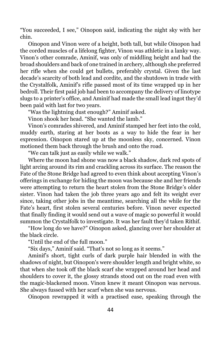"You succeeded, I see," Oinopon said, indicating the night sky with her chin.

Oinopon and Vinon were of a height, both tall, but while Oinopon had the corded muscles of a lifelong fighter, Vinon was athletic in a lanky way. Vinon's other comrade, Aminif, was only of middling height and had the broad shoulders and back of one trained in archery, although she preferred her rifle when she could get bullets, preferably crystal. Given the last decade's scarcity of both lead and cordite, and the shutdown in trade with the Crystalfolk, Aminif's rifle passed most of its time wrapped up in her bedroll. Their first paid job had been to accompany the delivery of linotype slugs to a printer's office, and Aminif had made the small lead ingot they'd been paid with last for two years.

"Was the lightning dust enough?" Aminif asked.

Vinon shook her head. "She wanted the lamb."

Vinon's comrades shivered, and Aminif stamped her feet into the cold, muddy earth, staring at her boots as a way to hide the fear in her expression. Oinopon stared up at the moonless sky, concerned. Vinon motioned them back through the brush and onto the road.

"We can talk just as easily while we walk."

Where the moon had shone was now a black shadow, dark red spots of light arcing around its rim and crackling across its surface. The reason the Fate of the Stone Bridge had agreed to even think about accepting Vinon's offerings in exchange for hiding the moon was because she and her friends were attempting to return the heart stolen from the Stone Bridge's older sister. Vinon had taken the job three years ago and felt its weight ever since, taking other jobs in the meantime, searching all the while for the Fate's heart, first stolen several centuries before. Vinon never expected that finally finding it would send out a wave of magic so powerful it would summon the Crystalfolk to investigate. It was her fault they'd taken Rithif.

"How long do we have?" Oinopon asked, glancing over her shoulder at the black circle.

"Until the end of the full moon."

"Six days," Aminif said. "That's not so long as it seems."

Aminif's short, tight curls of dark purple hair blended in with the shadows of night, but Oinopon's were shoulder length and bright white, so that when she took off the black scarf she wrapped around her head and shoulders to cover it, the glossy strands stood out on the road even with the magic-blackened moon. Vinon knew it meant Oinopon was nervous. She always fussed with her scarf when she was nervous.

Oinopon rewrapped it with a practised ease, speaking through the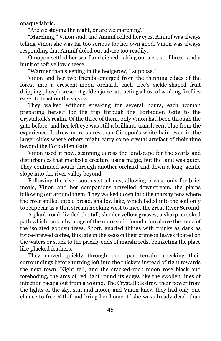opaque fabric.

"Are we staying the night, or are we marching?"

"Marching," Vinon said, and Aminif rolled her eyes. Aminif was always telling Vinon she was far too serious for her own good. Vinon was always responding that Aminif doled out advice too readily.

Oinopon settled her scarf and sighed, taking out a crust of bread and a hunk of soft yellow cheese.

"Warmer than sleeping in the hedgerow, I suppose."

Vinon and her two friends emerged from the thinning edges of the forest into a crescent-moon orchard, each tree's sickle-shaped fruit dripping phosphorescent golden juice, attracting a host of winking fireflies eager to feast on the sugars.

They walked without speaking for several hours, each woman preparing herself for the trip through the Forbidden Gate to the Crystalfolk's realm. Of the three of them, only Vinon had been through the gate before, and her left eye was still a brilliant, translucent blue from the experience. It drew more stares than Oinopon's white hair, even in the larger cities where others might carry some crystal artefact of their time beyond the Forbidden Gate.

Vinon used it now, scanning across the landscape for the swirls and disturbances that marked a creature using magic, but the land was quiet. They continued south through another orchard and down a long, gentle slope into the river valley beyond.

Following the river southeast all day, allowing breaks only for brief meals, Vinon and her companions travelled downstream, the plains billowing out around them. They walked down into the marshy fens where the river spilled into a broad, shallow lake, which faded into the soil only to reappear as a thin stream hooking west to meet the great River Seronid.

A plank road divided the tall, slender yellow grasses, a sharp, crooked path which took advantage of the more solid foundation above the roots of the isolated gobusu trees. Short, gnarled things with trunks as dark as twice-brewed coffee, this late in the season their crimson leaves floated on the waters or stuck to the prickly ends of marshreeds, blanketing the place like plucked feathers.

They moved quickly through the open terrain, checking their surroundings before turning left into the thickets instead of right towards the next town. Night fell, and the cracked-rock moon rose black and foreboding, the arcs of red light round its edges like the swollen lines of infection racing out from a wound. The Crystalfolk drew their power from the lights of the sky, sun and moon, and Vinon knew they had only one chance to free Rithif and bring her home. If she was already dead, than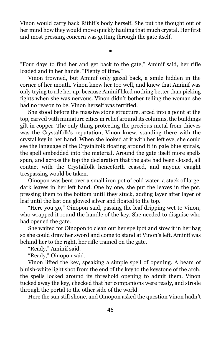Vinon would carry back Rithif's body herself. She put the thought out of her mind how they would move quickly hauling that much crystal. Her first and most pressing concern was getting through the gate itself.

"Four days to find her and get back to the gate," Aminif said, her rifle loaded and in her hands. "Plenty of time."

●

Vinon frowned, but Aminif only gazed back, a smile hidden in the corner of her mouth. Vinon knew her too well, and knew that Aminif was only trying to rile her up, because Aminif liked nothing better than picking fights when she was nervous. Vinon didn't bother telling the woman she had no reason to be. Vinon herself was terrified.

She stood before the massive stone structure, arced into a point at the top, carved with miniature cities in relief around its columns, the buildings gilt in copper. The only thing protecting the precious metal from thieves was the Crystalfolk's reputation, Vinon knew, standing there with the crystal key in her hand. When she looked at it with her left eye, she could see the language of the Crystalfolk floating around it in pale blue spirals, the spell embedded into the material. Around the gate itself more spells spun, and across the top the declaration that the gate had been closed, all contact with the Crystalfolk henceforth ceased, and anyone caught trespassing would be taken.

Oinopon was bent over a small iron pot of cold water, a stack of large, dark leaves in her left hand. One by one, she put the leaves in the pot, pressing them to the bottom until they stuck, adding layer after layer of leaf until the last one glowed silver and floated to the top.

"Here you go," Oinopon said, passing the leaf dripping wet to Vinon, who wrapped it round the handle of the key. She needed to disguise who had opened the gate.

She waited for Oinopon to clean out her spellpot and stow it in her bag so she could draw her sword and come to stand at Vinon's left. Aminif was behind her to the right, her rifle trained on the gate.

"Ready," Aminif said.

"Ready," Oinopon said.

Vinon lifted the key, speaking a simple spell of opening. A beam of bluish-white light shot from the end of the key to the keystone of the arch, the spells locked around its threshold opening to admit them. Vinon tucked away the key, checked that her companions were ready, and strode through the portal to the other side of the world.

Here the sun still shone, and Oinopon asked the question Vinon hadn't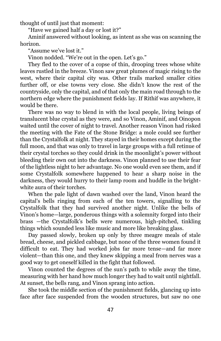thought of until just that moment:

"Have we gained half a day or lost it?"

Aminif answered without looking, as intent as she was on scanning the horizon.

"Assume we've lost it."

Vinon nodded. "We're out in the open. Let's go."

They fled to the cover of a copse of thin, drooping trees whose white leaves rustled in the breeze. Vinon saw great plumes of magic rising to the west, where their capital city was. Other trails marked smaller cities further off, or else towns very close. She didn't know the rest of the countryside, only the capital, and of that only the main road through to the northern edge where the punishment fields lay. If Rithif was anywhere, it would be there.

There was no way to blend in with the local people, living beings of translucent blue crystal as they were, and so Vinon, Aminif, and Oinopon waited until the cover of night to travel. Another reason Vinon had risked the meeting with the Fate of the Stone Bridge: a mole could see further than the Crystalfolk at night. They stayed in their homes except during the full moon, and that was only to travel in large groups with a full retinue of their crystal torches so they could drink in the moonlight's power without bleeding their own out into the darkness. Vinon planned to use their fear of the lightless night to her advantage. No one would even see them, and if some Crystalfolk somewhere happened to hear a sharp noise in the darkness, they would hurry to their lamp room and huddle in the brightwhite aura of their torches.

When the pale light of dawn washed over the land, Vinon heard the capital's bells ringing from each of the ten towers, signalling to the Crystalfolk that they had survived another night. Unlike the bells of Vinon's home—large, ponderous things with a solemnity forged into their brass —the Crystalfolk's bells were numerous, high-pitched, tinkling things which sounded less like music and more like breaking glass.

Day passed slowly, broken up only by three meagre meals of stale bread, cheese, and pickled cabbage, but none of the three women found it difficult to eat. They had worked jobs far more tense—and far more violent—than this one, and they knew skipping a meal from nerves was a good way to get oneself killed in the fight that followed.

Vinon counted the degrees of the sun's path to while away the time, measuring with her hand how much longer they had to wait until nightfall. At sunset, the bells rang, and Vinon sprang into action.

She took the middle section of the punishment fields, glancing up into face after face suspended from the wooden structures, but saw no one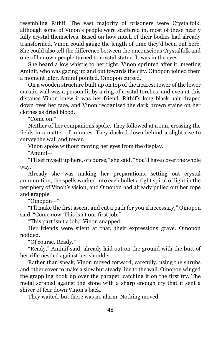resembling Rithif. The vast majority of prisoners were Crystalfolk, although some of Vinon's people were scattered in, most of these nearly fully crystal themselves. Based on how much of their bodies had already transformed, Vinon could gauge the length of time they'd been out here. She could also tell the difference between the unconscious Crystalfolk and one of her own people turned to crystal statue. It was in the eyes.

She heard a low whistle to her right. Vinon sprinted after it, meeting Aminif, who was gazing up and out towards the city. Oinopon joined them a moment later. Aminif pointed. Oinopon cursed.

On a wooden structure built up on top of the nearest tower of the lower curtain wall was a person lit by a ring of crystal torches, and even at this distance Vinon knew it was her friend. Rithif's long black hair draped down over her face, and Vinon recognised the dark brown stains on her clothes as dried blood.

"Come on."

Neither of her companions spoke. They followed at a run, crossing the fields in a matter of minutes. They ducked down behind a slight rise to survey the wall and tower.

Vinon spoke without moving her eyes from the display.

"Aminif—"

"I'll set myself up here, of course," she said. "You'll have cover the whole way."

Already she was making her preparations, setting out crystal ammunition, the spells worked into each bullet a tight spiral of light in the periphery of Vinon's vision, and Oinopon had already pulled out her rope and grapple.

"Oinopon—"

"I'll make the first ascent and cut a path for you if necessary," Oinopon said. "Come now. This isn't our first job."

"This part isn't a job," Vinon snapped.

Her friends were silent at that, their expressions grave. Oinopon nodded.

"Of course. Ready."

"Ready," Aminif said, already laid out on the ground with the butt of her rifle nestled against her shoulder.

Rather than speak, Vinon moved forward, carefully, using the shrubs and other cover to make a slow but steady line to the wall. Oinopon winged the grappling hook up over the parapet, catching it on the first try. The metal scraped against the stone with a sharp enough cry that it sent a shiver of fear down Vinon's back.

They waited, but there was no alarm. Nothing moved.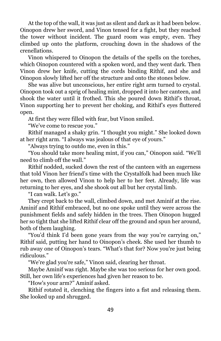At the top of the wall, it was just as silent and dark as it had been below. Oinopon drew her sword, and Vinon tensed for a fight, but they reached the tower without incident. The guard room was empty, even. They climbed up onto the platform, crouching down in the shadows of the crenellations.

Vinon whispered to Oinopon the details of the spells on the torches, which Oinopon countered with a spoken word, and they went dark. Then Vinon drew her knife, cutting the cords binding Rithif, and she and Oinopon slowly lifted her off the structure and onto the stones below.

She was alive but unconscious, her entire right arm turned to crystal. Oinopon took out a sprig of healing mint, dropped it into her canteen, and shook the water until it frothed. This she poured down Rithif's throat, Vinon supporting her to prevent her choking, and Rithif's eyes fluttered open.

At first they were filled with fear, but Vinon smiled.

"We've come to rescue you."

Rithif managed a shaky grin. "I thought you might." She looked down at her right arm. "I always was jealous of that eye of yours."

"Always trying to outdo me, even in this."

"You should take more healing mint, if you can," Oinopon said. "We'll need to climb off the wall."

Rithif nodded, sucked down the rest of the canteen with an eagerness that told Vinon her friend's time with the Crystalfolk had been much like her own, then allowed Vinon to help her to her feet. Already, life was returning to her eyes, and she shook out all but her crystal limb.

"I can walk. Let's go."

They crept back to the wall, climbed down, and met Aminif at the rise. Aminif and Rithif embraced, but no one spoke until they were across the punishment fields and safely hidden in the trees. Then Oinopon hugged her so tight that she lifted Rithif clear off the ground and spun her around, both of them laughing.

"You'd think I'd been gone years from the way you're carrying on," Rithif said, putting her hand to Oinopon's cheek. She used her thumb to rub away one of Oinopon's tears. "What's that for? Now you're just being ridiculous."

"We're glad you're safe," Vinon said, clearing her throat.

Maybe Aminif was right. Maybe she was too serious for her own good. Still, her own life's experiences had given her reason to be.

"How's your arm?" Aminif asked.

Rithif rotated it, clenching the fingers into a fist and releasing them. She looked up and shrugged.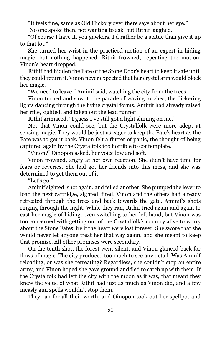"It feels fine, same as Old Hickory over there says about her eye."

No one spoke then, not wanting to ask, but Rithif laughed.

"Of course I have it, you gawkers. I'd rather be a statue than give it up to that lot."

She turned her wrist in the practiced motion of an expert in hiding magic, but nothing happened. Rithif frowned, repeating the motion. Vinon's heart dropped.

Rithif had hidden the Fate of the Stone Door's heart to keep it safe until they could return it. Vinon never expected that her crystal arm would block her magic.

"We need to leave," Aminif said, watching the city from the trees.

Vinon turned and saw it: the parade of waving torches, the flickering lights dancing through the living crystal forms. Aminif had already raised her rifle, sighted, and taken out the lead runner.

Rithif grimaced. "I guess I've still got a light shining on me."

Not that Vinon could see, but the Crystalfolk were more adept at sensing magic. They would be just as eager to keep the Fate's heart as the Fate was to get it back. Vinon felt a flutter of panic, the thought of being captured again by the Crystalfolk too horrible to contemplate.

"Vinon?" Oinopon asked, her voice low and soft.

Vinon frowned, angry at her own reaction. She didn't have time for fears or reveries. She had got her friends into this mess, and she was determined to get them out of it.

"Let's go."

Aminif sighted, shot again, and felled another. She pumped the lever to load the next cartridge, sighted, fired. Vinon and the others had already retreated through the trees and back towards the gate, Aminif's shots ringing through the night. While they ran, Rithif tried again and again to cast her magic of hiding, even switching to her left hand, but Vinon was too concerned with getting out of the Crystalfolk's country alive to worry about the Stone Fates' ire if the heart were lost forever. She swore that she would never let anyone treat her that way again, and she meant to keep that promise. All other promises were secondary.

On the tenth shot, the forest went silent, and Vinon glanced back for flows of magic. The city produced too much to see any detail. Was Aminif reloading, or was she retreating? Regardless, she couldn't stop an entire army, and Vinon hoped she gave ground and fled to catch up with them. If the Crystalfolk had left the city with the moon as it was, that meant they knew the value of what Rithif had just as much as Vinon did, and a few measly gun spells wouldn't stop them.

They ran for all their worth, and Oinopon took out her spellpot and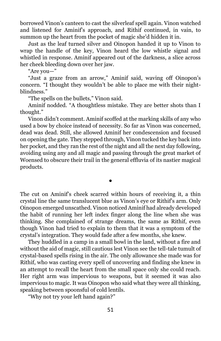borrowed Vinon's canteen to cast the silverleaf spell again. Vinon watched and listened for Aminif's approach, and Rithif continued, in vain, to summon up the heart from the pocket of magic she'd hidden it in.

Just as the leaf turned silver and Oinopon handed it up to Vinon to wrap the handle of the key, Vinon heard the low whistle signal and whistled in response. Aminif appeared out of the darkness, a slice across her cheek bleeding down over her jaw.

"Are you—"

"Just a graze from an arrow," Aminif said, waving off Oinopon's concern. "I thought they wouldn't be able to place me with their nightblindness."

"The spells on the bullets," Vinon said.

Aminif nodded. "A thoughtless mistake. They are better shots than I thought."

Vinon didn't comment. Aminif scoffed at the marking skills of any who used a bow by choice instead of necessity. So far as Vinon was concerned, dead was dead. Still, she allowed Aminif her condescension and focused on opening the gate. They stepped through, Vinon tucked the key back into her pocket, and they ran the rest of the night and all the next day following, avoiding using any and all magic and passing through the great market of Woensed to obscure their trail in the general effluvia of its nastier magical products.

The cut on Aminif's cheek scarred within hours of receiving it, a thin crystal line the same translucent blue as Vinon's eye or Rithif's arm. Only Oinopon emerged unscathed. Vinon noticed Aminif had already developed the habit of running her left index finger along the line when she was thinking. She complained of strange dreams, the same as Rithif, even though Vinon had tried to explain to them that it was a symptom of the crystal's integration. They would fade after a few months, she knew.

●

They huddled in a camp in a small bowl in the land, without a fire and without the aid of magic, still cautious lest Vinon see the tell-tale tumult of crystal-based spells rising in the air. The only allowance she made was for Rithif, who was casting every spell of uncovering and finding she knew in an attempt to recall the heart from the small space only she could reach. Her right arm was impervious to weapons, but it seemed it was also impervious to magic. It was Oinopon who said what they were all thinking, speaking between spoonsful of cold lentils.

"Why not try your left hand again?"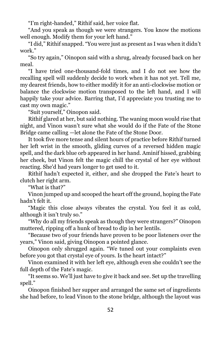"I'm right-handed," Rithif said, her voice flat.

"And you speak as though we were strangers. You know the motions well enough. Modify them for your left hand."

"I did," Rithif snapped. "You were just as present as I was when it didn't work."

"So try again," Oinopon said with a shrug, already focused back on her meal.

"I have tried one-thousand-fold times, and I do not see how the recalling spell will suddenly decide to work when it has not yet. Tell me, my dearest friends, how to either modify it for an anti-clockwise motion or balance the clockwise motion transposed to the left hand, and I will happily take your advice. Barring that, I'd appreciate you trusting me to cast my own magic."

"Suit yourself," Oinopon said.

Rithif glared at her, but said nothing. The waning moon would rise that night, and Vinon wasn't sure what she would do if the Fate of the Stone Bridge came calling —let alone the Fate of the Stone Door.

It took five more tense and silent hours of practice before Rithif turned her left wrist in the smooth, gliding curves of a reversed hidden magic spell, and the dark blue orb appeared in her hand. Aminif hissed, grabbing her cheek, but Vinon felt the magic chill the crystal of her eye without reacting. She'd had years longer to get used to it.

Rithif hadn't expected it, either, and she dropped the Fate's heart to clutch her right arm.

"What is that?"

Vinon jumped up and scooped the heart off the ground, hoping the Fate hadn't felt it.

"Magic this close always vibrates the crystal. You feel it as cold, although it isn't truly so."

"Why do all my friends speak as though they were strangers?" Oinopon muttered, ripping off a hunk of bread to dip in her lentils.

"Because two of your friends have proven to be poor listeners over the years," Vinon said, giving Oinopon a pointed glance.

Oinopon only shrugged again. "We tuned out your complaints even before you got that crystal eye of yours. Is the heart intact?"

Vinon examined it with her left eye, although even she couldn't see the full depth of the Fate's magic.

"It seems so. We'll just have to give it back and see. Set up the travelling spell."

Oinopon finished her supper and arranged the same set of ingredients she had before, to lead Vinon to the stone bridge, although the layout was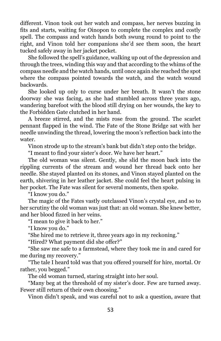different. Vinon took out her watch and compass, her nerves buzzing in fits and starts, waiting for Oinopon to complete the complex and costly spell. The compass and watch hands both swung round to point to the right, and Vinon told her companions she'd see them soon, the heart tucked safely away in her jacket pocket.

She followed the spell's guidance, walking up out of the depression and through the trees, winding this way and that according to the whims of the compass needle and the watch hands, until once again she reached the spot where the compass pointed towards the watch, and the watch wound backwards.

She looked up only to curse under her breath. It wasn't the stone doorway she was facing, as she had stumbled across three years ago, wandering barefoot with the blood still drying on her wounds, the key to the Forbidden Gate clutched in her hand.

A breeze stirred, and the mists rose from the ground. The scarlet pennant flapped in the wind. The Fate of the Stone Bridge sat with her needle unwinding the thread, lowering the moon's reflection back into the water.

Vinon strode up to the stream's bank but didn't step onto the bridge.

"I meant to find your sister's door. We have her heart."

The old woman was silent. Gently, she slid the moon back into the rippling currents of the stream and wound her thread back onto her needle. She stayed planted on its stones, and Vinon stayed planted on the earth, shivering in her leather jacket. She could feel the heart pulsing in her pocket. The Fate was silent for several moments, then spoke.

"I know you do."

The magic of the Fates vastly outclassed Vinon's crystal eye, and so to her scrutiny the old woman was just that: an old woman. She knew better, and her blood fizzed in her veins.

"I mean to give it back to her."

"I know you do."

"She hired me to retrieve it, three years ago in my reckoning."

"Hired? What payment did she offer?"

"She saw me safe to a farmstead, where they took me in and cared for me during my recovery."

"The tale I heard told was that you offered yourself for hire, mortal. Or rather, you begged."

The old woman turned, staring straight into her soul.

"Many beg at the threshold of my sister's door. Few are turned away. Fewer still return of their own choosing."

Vinon didn't speak, and was careful not to ask a question, aware that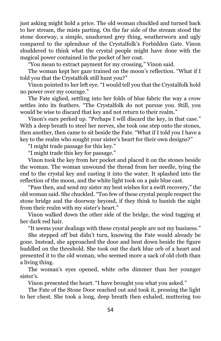just asking might hold a price. The old woman chuckled and turned back to her stream, the mists parting. On the far side of the stream stood the stone doorway, a simple, unadorned grey thing, weatherworn and ugly compared to the splendour of the Crystalfolk's Forbidden Gate. Vinon shuddered to think what the crystal people might have done with the magical power contained in the pocket of her coat.

"You mean to extract payment for my crossing," Vinon said.

The woman kept her gaze trained on the moon's reflection. "What if I told you that the Crystalfolk still hunt you?"

Vinon pointed to her left eye. "I would tell you that the Crystalfolk hold no power over my courage."

The Fate sighed, settling into her folds of blue fabric the way a crow settles into its feathers. "The Crystalfolk do not pursue you. Still, you would be wise to discard that key and not return to their realm."

Vinon's ears perked up. "Perhaps I will discard the key, in that case." With a deep breath to steel her nerves, she took one step onto the stones, then another, then came to sit beside the Fate. "What if I told you I have a key to the realm who sought your sister's heart for their own designs?"

"I might trade passage for this key."

"I might trade this key for passage."

Vinon took the key from her pocket and placed it on the stones beside the woman. The woman unwound the thread from her needle, tying the end to the crystal key and casting it into the water. It splashed into the reflection of the moon, and the white light took on a pale blue cast.

"Pass then, and send my sister my best wishes for a swift recovery," the old woman said. She chuckled. "Too few of these crystal people respect the stone bridge and the doorway beyond, if they think to banish the night from their realm with my sister's heart."

Vinon walked down the other side of the bridge, the wind tugging at her dark red hair.

"It seems your dealings with these crystal people are not my business."

She stepped off but didn't turn, knowing the Fate would already be gone. Instead, she approached the door and bent down beside the figure huddled on the threshold. She took out the dark blue orb of a heart and presented it to the old woman, who seemed more a sack of old cloth than a living thing.

The woman's eyes opened, white orbs dimmer than her younger sister's.

Vinon presented the heart. "I have brought you what you asked."

The Fate of the Stone Door reached out and took it, pressing the light to her chest. She took a long, deep breath then exhaled, muttering too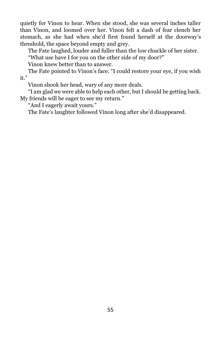quietly for Vinon to hear. When she stood, she was several inches taller than Vinon, and loomed over her. Vinon felt a dash of fear clench her stomach, as she had when she'd first found herself at the doorway's threshold, the space beyond empty and grey.

The Fate laughed, louder and fuller than the low chuckle of her sister.

"What use have I for you on the other side of my door?"

Vinon knew better than to answer.

The Fate pointed to Vinon's face. "I could restore your eye, if you wish it."

Vinon shook her head, wary of any more deals.

"I am glad we were able to help each other, but I should be getting back. My friends will be eager to see my return."

"And I eagerly await yours."

The Fate's laughter followed Vinon long after she'd disappeared.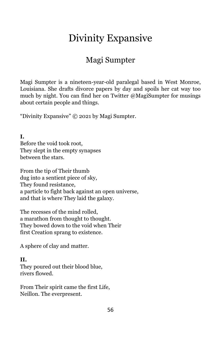# Divinity Expansive

## Magi Sumpter

<span id="page-57-0"></span>Magi Sumpter is a nineteen-year-old paralegal based in West Monroe, Louisiana. She drafts divorce papers by day and spoils her cat way too much by night. You can find her on Twitter @MagiSumpter for musings about certain people and things.

"Divinity Expansive" © 2021 by Magi Sumpter.

**I.**  Before the void took root, They slept in the empty synapses between the stars.

From the tip of Their thumb dug into a sentient piece of sky, They found resistance, a particle to fight back against an open universe, and that is where They laid the galaxy.

The recesses of the mind rolled, a marathon from thought to thought. They bowed down to the void when Their first Creation sprang to existence.

A sphere of clay and matter.

#### **II.**

They poured out their blood blue, rivers flowed.

From Their spirit came the first Life, Neillon. The everpresent.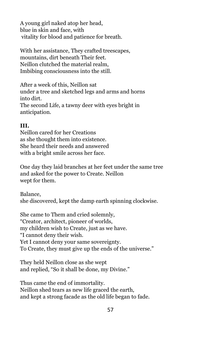A young girl naked atop her head, blue in skin and face, with vitality for blood and patience for breath.

With her assistance, They crafted treescapes, mountains, dirt beneath Their feet. Neillon clutched the material realm, Imbibing consciousness into the still.

After a week of this, Neillon sat under a tree and sketched legs and arms and horns into dirt. The second Life, a tawny deer with eyes bright in anticipation.

#### **III.**

Neillon cared for her Creations as she thought them into existence. She heard their needs and answered with a bright smile across her face.

One day they laid branches at her feet under the same tree and asked for the power to Create. Neillon wept for them.

Balance, she discovered, kept the damp earth spinning clockwise.

She came to Them and cried solemnly, "Creator, architect, pioneer of worlds, my children wish to Create, just as we have. "I cannot deny their wish. Yet I cannot deny your same sovereignty. To Create, they must give up the ends of the universe."

They held Neillon close as she wept and replied, "So it shall be done, my Divine."

Thus came the end of immortality. Neillon shed tears as new life graced the earth, and kept a strong facade as the old life began to fade.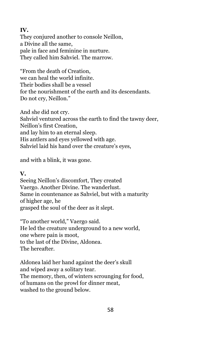#### **IV.**

They conjured another to console Neillon, a Divine all the same, pale in face and feminine in nurture. They called him Sahviel. The marrow.

"From the death of Creation, we can heal the world infinite. Their bodies shall be a vessel for the nourishment of the earth and its descendants. Do not cry, Neillon."

And she did not cry. Sahviel ventured across the earth to find the tawny deer, Neillon's first Creation, and lay him to an eternal sleep. His antlers and eyes yellowed with age. Sahviel laid his hand over the creature's eyes,

and with a blink, it was gone.

#### **V.**

Seeing Neillon's discomfort, They created Vaergo. Another Divine. The wanderlust. Same in countenance as Sahviel, but with a maturity of higher age, he grasped the soul of the deer as it slept.

"To another world," Vaergo said. He led the creature underground to a new world, one where pain is moot, to the last of the Divine, Aldonea. The hereafter.

Aldonea laid her hand against the deer's skull and wiped away a solitary tear. The memory, then, of winters scrounging for food, of humans on the prowl for dinner meat, washed to the ground below.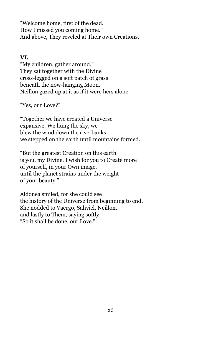"Welcome home, first of the dead. How I missed you coming home." And above, They reveled at Their own Creations.

#### **VI.**

"My children, gather around." They sat together with the Divine cross-legged on a soft patch of grass beneath the now-hanging Moon. Neillon gazed up at it as if it were hers alone.

"Yes, our Love?"

"Together we have created a Universe expansive. We hung the sky, we blew the wind down the riverbanks, we stepped on the earth until mountains formed.

"But the greatest Creation on this earth is you, my Divine. I wish for you to Create more of yourself, in your Own image, until the planet strains under the weight of your beauty."

Aldonea smiled, for she could see the history of the Universe from beginning to end. She nodded to Vaergo, Sahviel, Neillon, and lastly to Them, saying softly, "So it shall be done, our Love."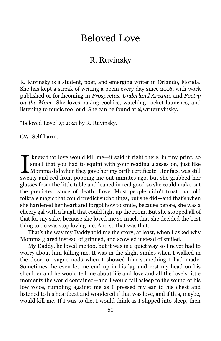# Beloved Love

## R. Ruvinsky

<span id="page-61-0"></span>R. Ruvinsky is a student, poet, and emerging writer in Orlando, Florida. She has kept a streak of writing a poem every day since 2016, with work published or forthcoming in *Prospectus, Underland Arcana*, and *Poetry on the Move*. She loves baking cookies, watching rocket launches, and listening to music too loud. She can be found at @writeruvinsky.

"Beloved Love" © 2021 by R. Ruvinsky.

CW: Self-harm.

knew that love would kill me—it said it right there, in tiny print, so small that you had to squint with your reading glasses on, just like Knew that love would kill me—it said it right there, in tiny print, so small that you had to squint with your reading glasses on, just like Momma did when they gave her my birth certificate. Her face was still sweety and r sweaty and red from popping me out minutes ago, but she grabbed her glasses from the little table and leaned in real good so she could make out the predicted cause of death: Love. Most people didn't trust that old folktale magic that could predict such things, but she did—and that's when she hardened her heart and forgot how to smile, because before, she was a cheery gal with a laugh that could light up the room. But she stopped all of that for my sake, because she loved me so much that she decided the best thing to do was stop loving me. And so that was that.

That's the way my Daddy told me the story, at least, when I asked why Momma glared instead of grinned, and scowled instead of smiled.

My Daddy, he loved me too, but it was in a quiet way so I never had to worry about him killing me. It was in the slight smiles when I walked in the door, or vague nods when I showed him something I had made. Sometimes, he even let me curl up in his lap and rest my head on his shoulder and he would tell me about life and love and all the lovely little moments the world contained—and I would fall asleep to the sound of his low voice, rumbling against me as I pressed my ear to his chest and listened to his heartbeat and wondered if that was love, and if this, maybe, would kill me. If I was to die, I would think as I slipped into sleep, then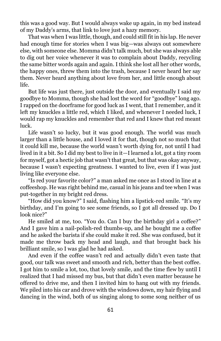this was a good way. But I would always wake up again, in my bed instead of my Daddy's arms, that link to love just a hazy memory.

That was when I was little, though, and could still fit in his lap. He never had enough time for stories when I was big—was always out somewhere else, with someone else. Momma didn't talk much, but she was always able to dig out her voice whenever it was to complain about Daddy, recycling the same bitter words again and again. I think she lost all her other words, the happy ones, threw them into the trash, because I never heard her say them. Never heard anything about love from her, and little enough about life.

But life was just there, just outside the door, and eventually I said my goodbye to Momma, though she had lost the word for "goodbye" long ago. I rapped on the doorframe for good luck as I went, that I remember, and it left my knuckles a little red, which I liked, and whenever I needed luck, I would rap my knuckles and remember that red and I knew that red meant luck.

Life wasn't so lucky, but it was good enough. The world was much larger than a little house, and I loved it for that, though not so much that it could kill me, because the world wasn't worth dying for, not until I had lived in it a bit. So I did my best to live in it—I learned a lot, got a tiny room for myself, got a hectic job that wasn't that great, but that was okay anyway, because I wasn't expecting greatness. I wanted to live, even if I was just living like everyone else.

"Is red your favorite color?" a man asked me once as I stood in line at a coffeeshop. He was right behind me, casual in his jeans and tee when I was put-together in my bright red dress.

"How did you know?" I said, flashing him a lipstick-red smile. "It's my birthday, and I'm going to see some friends, so I got all dressed up. Do I look nice?"

He smiled at me, too. "You do. Can I buy the birthday girl a coffee?" And I gave him a nail-polish-red thumbs-up, and he bought me a coffee and he asked the barista if she could make it red. She was confused, but it made me throw back my head and laugh, and that brought back his brilliant smile, so I was glad he had asked.

And even if the coffee wasn't red and actually didn't even taste that good, our talk was sweet and smooth and rich, better than the best coffee. I got him to smile a lot, too, that lovely smile, and the time flew by until I realized that I had missed my bus, but that didn't even matter because he offered to drive me, and then I invited him to hang out with my friends. We piled into his car and drove with the windows down, my hair flying and dancing in the wind, both of us singing along to some song neither of us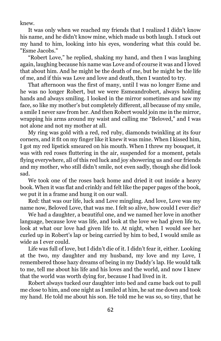knew.

It was only when we reached my friends that I realized I didn't know his name, and he didn't know mine, which made us both laugh. I stuck out my hand to him, looking into his eyes, wondering what this could be. "Esme Jacobs."

"Robert Love," he replied, shaking my hand, and then I was laughing again, laughing because his name was Love and of course it was and I loved that about him. And he might be the death of me, but he might be the life of me, and if this was Love and love and death, then I wanted to try.

That afternoon was the first of many, until I was no longer Esme and he was no longer Robert, but we were Esmeandrobert, always holding hands and always smiling. I looked in the mirror sometimes and saw my face, so like my mother's but completely different, all because of my smile, a smile I never saw from her. And then Robert would join me in the mirror, wrapping his arms around my waist and calling me "Beloved," and I was not alone and not my mother at all.

My ring was gold with a red, red ruby, diamonds twinkling at its four corners, and it fit on my finger like it knew it was mine. When I kissed him, I got my red lipstick smeared on his mouth. When I threw my bouquet, it was with red roses fluttering in the air, suspended for a moment, petals flying everywhere, all of this red luck and joy showering us and our friends and my mother, who still didn't smile, not even sadly, though she did look sad.

We took one of the roses back home and dried it out inside a heavy book. When it was flat and crinkly and felt like the paper pages of the book, we put it in a frame and hung it on our wall.

Red: that was our life, luck and Love mingling. And love, Love was my name now, Beloved Love, that was me. I felt so alive, how could I ever die?

We had a daughter, a beautiful one, and we named her love in another language, because love was life, and look at the love we had given life to, look at what our love had given life to. At night, when I would see her curled up in Robert's lap or being carried by him to bed, I would smile as wide as I ever could.

Life was full of love, but I didn't die of it. I didn't fear it, either. Looking at the two, my daughter and my husband, my love and my Love, I remembered those hazy dreams of being in my Daddy's lap. He would talk to me, tell me about his life and his loves and the world, and now I knew that the world was worth dying for, because I had lived in it.

Robert always tucked our daughter into bed and came back out to pull me close to him, and one night as I smiled at him, he sat me down and took my hand. He told me about his son. He told me he was so, so tiny, that he